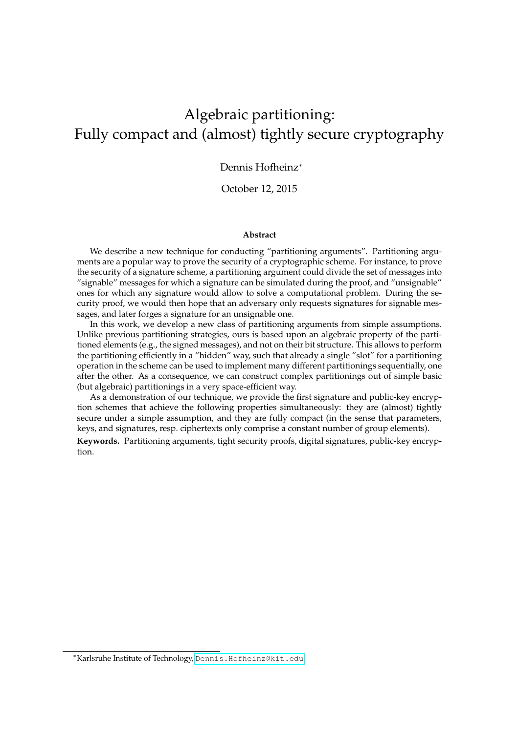# Algebraic partitioning: Fully compact and (almost) tightly secure cryptography

Dennis Hofheinz<sup>∗</sup>

October 12, 2015

#### **Abstract**

We describe a new technique for conducting "partitioning arguments". Partitioning arguments are a popular way to prove the security of a cryptographic scheme. For instance, to prove the security of a signature scheme, a partitioning argument could divide the set of messages into "signable" messages for which a signature can be simulated during the proof, and "unsignable" ones for which any signature would allow to solve a computational problem. During the security proof, we would then hope that an adversary only requests signatures for signable messages, and later forges a signature for an unsignable one.

In this work, we develop a new class of partitioning arguments from simple assumptions. Unlike previous partitioning strategies, ours is based upon an algebraic property of the partitioned elements (e.g., the signed messages), and not on their bit structure. This allows to perform the partitioning efficiently in a "hidden" way, such that already a single "slot" for a partitioning operation in the scheme can be used to implement many different partitionings sequentially, one after the other. As a consequence, we can construct complex partitionings out of simple basic (but algebraic) partitionings in a very space-efficient way.

As a demonstration of our technique, we provide the first signature and public-key encryption schemes that achieve the following properties simultaneously: they are (almost) tightly secure under a simple assumption, and they are fully compact (in the sense that parameters, keys, and signatures, resp. ciphertexts only comprise a constant number of group elements).

**Keywords.** Partitioning arguments, tight security proofs, digital signatures, public-key encryption.

<sup>∗</sup>Karlsruhe Institute of Technology, <Dennis.Hofheinz@kit.edu>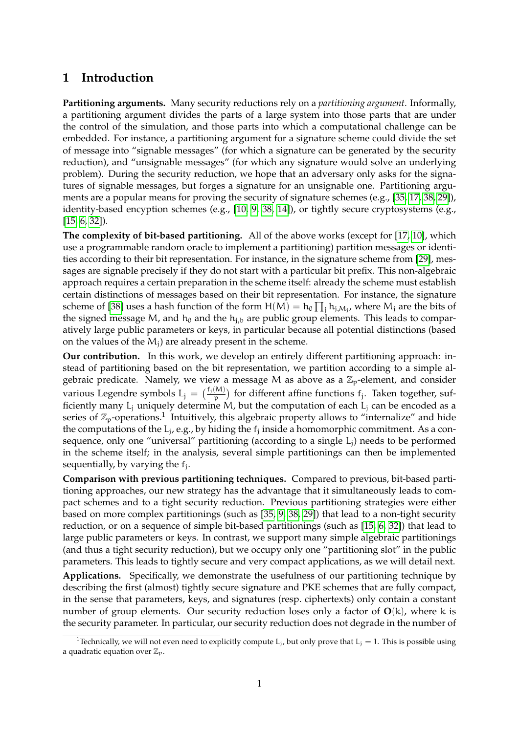# <span id="page-1-0"></span>**1 Introduction**

**Partitioning arguments.** Many security reductions rely on a *partitioning argument*. Informally, a partitioning argument divides the parts of a large system into those parts that are under the control of the simulation, and those parts into which a computational challenge can be embedded. For instance, a partitioning argument for a signature scheme could divide the set of message into "signable messages" (for which a signature can be generated by the security reduction), and "unsignable messages" (for which any signature would solve an underlying problem). During the security reduction, we hope that an adversary only asks for the signatures of signable messages, but forges a signature for an unsignable one. Partitioning arguments are a popular means for proving the security of signature schemes (e.g., [\[35,](#page-20-0) [17,](#page-19-0) [38,](#page-20-1) [29\]](#page-20-2)), identity-based encyption schemes (e.g., [\[10,](#page-19-1) [9,](#page-19-2) [38,](#page-20-1) [14\]](#page-19-3)), or tightly secure cryptosystems (e.g., [\[15,](#page-19-4) [6,](#page-19-5) [32\]](#page-20-3)).

**The complexity of bit-based partitioning.** All of the above works (except for [\[17,](#page-19-0) [10\]](#page-19-1), which use a programmable random oracle to implement a partitioning) partition messages or identities according to their bit representation. For instance, in the signature scheme from [\[29\]](#page-20-2), messages are signable precisely if they do not start with a particular bit prefix. This non-algebraic approach requires a certain preparation in the scheme itself: already the scheme must establish certain distinctions of messages based on their bit representation. For instance, the signature scheme of [\[38\]](#page-20-1) uses a hash function of the form  $H(M) = h_0 \prod_j h_{j,M_j}$ , where  $M_j$  are the bits of the signed message M, and  $h_0$  and the  $h_{i,b}$  are public group elements. This leads to comparatively large public parameters or keys, in particular because all potential distinctions (based on the values of the  $M_i$ ) are already present in the scheme.

**Our contribution.** In this work, we develop an entirely different partitioning approach: instead of partitioning based on the bit representation, we partition according to a simple algebraic predicate. Namely, we view a message M as above as a  $\mathbb{Z}_p$ -element, and consider various Legendre symbols  $L_j = (\frac{f_j(M)}{p})$  for different affine functions  $f_j$ . Taken together, sufficiently many  $L_j$  uniquely determine M, but the computation of each  $L_j$  can be encoded as a series of  $\mathbb{Z}_p$ -operations.<sup>1</sup> Intuitively, this algebraic property allows to "internalize" and hide the computations of the  $L_j$ , e.g., by hiding the  $f_j$  inside a homomorphic commitment. As a consequence, only one "universal" partitioning (according to a single  $L_i$ ) needs to be performed in the scheme itself; in the analysis, several simple partitionings can then be implemented sequentially, by varying the  $f_j$ .

**Comparison with previous partitioning techniques.** Compared to previous, bit-based partitioning approaches, our new strategy has the advantage that it simultaneously leads to compact schemes and to a tight security reduction. Previous partitioning strategies were either based on more complex partitionings (such as [\[35,](#page-20-0) [9,](#page-19-2) [38,](#page-20-1) [29\]](#page-20-2)) that lead to a non-tight security reduction, or on a sequence of simple bit-based partitionings (such as [\[15,](#page-19-4) [6,](#page-19-5) [32\]](#page-20-3)) that lead to large public parameters or keys. In contrast, we support many simple algebraic partitionings (and thus a tight security reduction), but we occupy only one "partitioning slot" in the public parameters. This leads to tightly secure and very compact applications, as we will detail next.

**Applications.** Specifically, we demonstrate the usefulness of our partitioning technique by describing the first (almost) tightly secure signature and PKE schemes that are fully compact, in the sense that parameters, keys, and signatures (resp. ciphertexts) only contain a constant number of group elements. Our security reduction loses only a factor of  $O(k)$ , where k is the security parameter. In particular, our security reduction does not degrade in the number of

<sup>&</sup>lt;sup>1</sup>Technically, we will not even need to explicitly compute L<sub>j</sub>, but only prove that L<sub>j</sub> = 1. This is possible using a quadratic equation over  $\mathbb{Z}_p$ .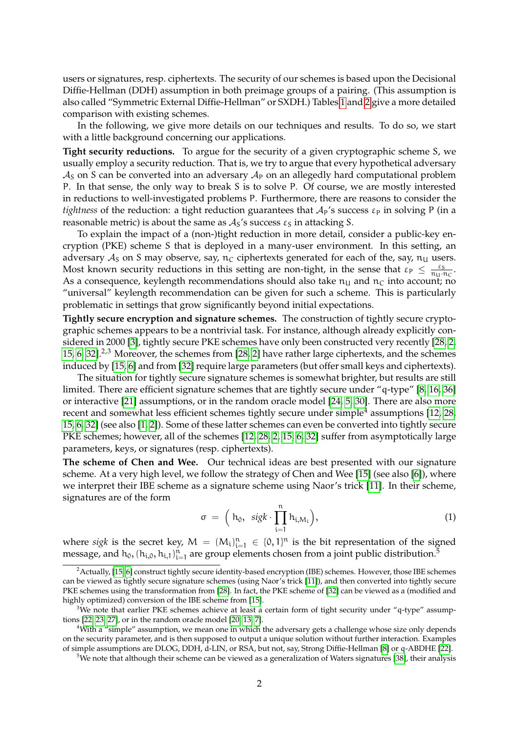users or signatures, resp. ciphertexts. The security of our schemes is based upon the Decisional Diffie-Hellman (DDH) assumption in both preimage groups of a pairing. (This assumption is also called "Symmetric External Diffie-Hellman" or SXDH.) Tables [1](#page-3-0) and [2](#page-3-1) give a more detailed comparison with existing schemes.

In the following, we give more details on our techniques and results. To do so, we start with a little background concerning our applications.

**Tight security reductions.** To argue for the security of a given cryptographic scheme S, we usually employ a security reduction. That is, we try to argue that every hypothetical adversary  $\mathcal{A}_S$  on S can be converted into an adversary  $\mathcal{A}_P$  on an allegedly hard computational problem P. In that sense, the only way to break S is to solve P. Of course, we are mostly interested in reductions to well-investigated problems P. Furthermore, there are reasons to consider the *tightness* of the reduction: a tight reduction guarantees that  $A<sub>P</sub>$ 's success  $\varepsilon<sub>P</sub>$  in solving P (in a reasonable metric) is about the same as  $A_S$ 's success  $\varepsilon_S$  in attacking S.

To explain the impact of a (non-)tight reduction in more detail, consider a public-key encryption (PKE) scheme S that is deployed in a many-user environment. In this setting, an adversary  $A_S$  on S may observe, say,  $n_C$  ciphertexts generated for each of the, say,  $n_U$  users. Most known security reductions in this setting are non-tight, in the sense that  $\varepsilon_P \leq \frac{\varepsilon_S}{n_{11}}$  $\frac{\epsilon_S}{n_U \cdot n_C}$ . As a consequence, keylength recommendations should also take  $n_U$  and  $n_C$  into account; no "universal" keylength recommendation can be given for such a scheme. This is particularly problematic in settings that grow significantly beyond initial expectations.

**Tightly secure encryption and signature schemes.** The construction of tightly secure cryptographic schemes appears to be a nontrivial task. For instance, although already explicitly considered in 2000 [\[3\]](#page-19-6), tightly secure PKE schemes have only been constructed very recently [\[28,](#page-20-4) [2,](#page-19-7) [15,](#page-19-4) [6,](#page-19-5) [32\]](#page-20-3).<sup>2,3</sup> Moreover, the schemes from [\[28,](#page-20-4) [2\]](#page-19-7) have rather large ciphertexts, and the schemes induced by [\[15,](#page-19-4) [6\]](#page-19-5) and from [\[32\]](#page-20-3) require large parameters (but offer small keys and ciphertexts).

The situation for tightly secure signature schemes is somewhat brighter, but results are still limited. There are efficient signature schemes that are tightly secure under "q-type" [\[8,](#page-19-8) [16,](#page-19-9) [36\]](#page-20-5) or interactive [\[21\]](#page-19-10) assumptions, or in the random oracle model [\[24,](#page-19-11) [5,](#page-19-12) [30\]](#page-20-6). There are also more recent and somewhat less efficient schemes tightly secure under simple<sup>4</sup> assumptions [\[12,](#page-19-13) [28,](#page-20-4) [15,](#page-19-4) [6,](#page-19-5) [32\]](#page-20-3) (see also [\[1,](#page-19-14) [2\]](#page-19-7)). Some of these latter schemes can even be converted into tightly secure PKE schemes; however, all of the schemes [\[12,](#page-19-13) [28,](#page-20-4) [2,](#page-19-7) [15,](#page-19-4) [6,](#page-19-5) [32\]](#page-20-3) suffer from asymptotically large parameters, keys, or signatures (resp. ciphertexts).

**The scheme of Chen and Wee.** Our technical ideas are best presented with our signature scheme. At a very high level, we follow the strategy of Chen and Wee [\[15\]](#page-19-4) (see also [\[6\]](#page-19-5)), where we interpret their IBE scheme as a signature scheme using Naor's trick [\[11\]](#page-19-15). In their scheme, signatures are of the form

<span id="page-2-0"></span>
$$
\sigma = \left(h_0, sigk \cdot \prod_{i=1}^{n} h_{i,M_i}\right),\tag{1}
$$

where *sigk* is the secret key,  $M = (M_i)_{i=1}^n \in \{0,1\}^n$  is the bit representation of the signed message, and  $h_0$ ,  $(h_{i,0}, h_{i,1})_{i=1}^n$  are group elements chosen from a joint public distribution.<sup>5</sup>

<sup>&</sup>lt;sup>2</sup> Actually, [\[15,](#page-19-4) [6\]](#page-19-5) construct tightly secure identity-based encryption (IBE) schemes. However, those IBE schemes can be viewed as tightly secure signature schemes (using Naor's trick [\[11\]](#page-19-15)), and then converted into tightly secure PKE schemes using the transformation from [\[28\]](#page-20-4). In fact, the PKE scheme of [\[32\]](#page-20-3) can be viewed as a (modified and highly optimized) conversion of the IBE scheme from [\[15\]](#page-19-4).

 $3$ We note that earlier PKE schemes achieve at least a certain form of tight security under "q-type" assumptions [\[22,](#page-19-16) [23,](#page-19-17) [27\]](#page-20-7), or in the random oracle model [\[20,](#page-19-18) [13,](#page-19-19) [7\]](#page-19-20).

<sup>&</sup>lt;sup>4</sup>With a "simple" assumption, we mean one in which the adversary gets a challenge whose size only depends on the security parameter, and is then supposed to output a unique solution without further interaction. Examples of simple assumptions are DLOG, DDH, d-LIN, or RSA, but not, say, Strong Diffie-Hellman [\[8\]](#page-19-8) or q-ABDHE [\[22\]](#page-19-16).

<sup>5</sup>We note that although their scheme can be viewed as a generalization of Waters signatures [\[38\]](#page-20-1), their analysis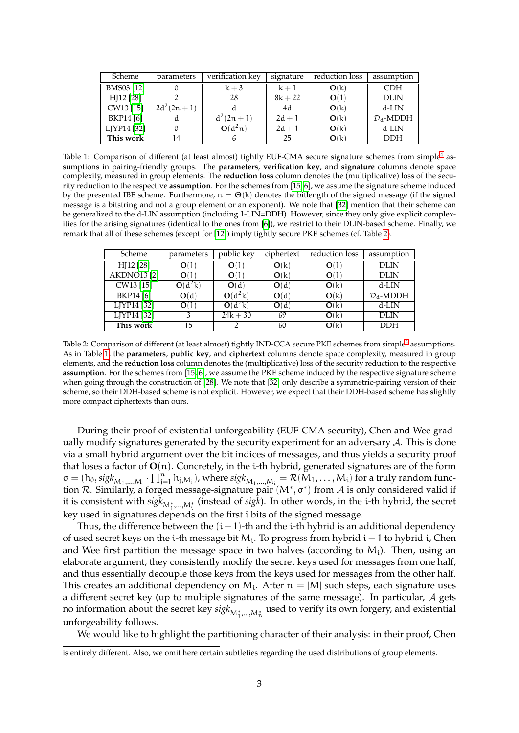<span id="page-3-0"></span>

| Scheme                | parameters   | verification key | signature | reduction loss | assumption            |
|-----------------------|--------------|------------------|-----------|----------------|-----------------------|
| BMS03 [12]            |              | $k+3$            | $k+1$     | O(k)           | <b>CDH</b>            |
| HJ12 [28]             |              | 28               | $8k + 22$ | O(1)           | <b>DLIN</b>           |
| CW <sub>13</sub> [15] | $2d^2(2n+1)$ |                  | 4d        | O(k)           | $d$ -LIN              |
| BKP14 [6]             |              | $d^{2}(2n + 1)$  | $2d + 1$  | O(k)           | $\mathcal{D}_d$ -MDDH |
| LJYP14 [32]           |              | $O(d^2n)$        | $2d + 1$  | O(k)           | $d$ -LIN              |
| This work             | 14           | b                | 25        | O(k)           | <b>DDH</b>            |

Table 1: Comparison of different (at least almost) tightly EUF-CMA secure signature schemes from simple<sup>[4](#page-1-0)</sup> assumptions in pairing-friendly groups. The **parameters**, **verification key**, and **signature** columns denote space complexity, measured in group elements. The **reduction loss** column denotes the (multiplicative) loss of the security reduction to the respective **assumption**. For the schemes from [\[15,](#page-19-4) [6\]](#page-19-5), we assume the signature scheme induced by the presented IBE scheme. Furthermore,  $n = \Theta(k)$  denotes the bitlength of the signed message (if the signed message is a bitstring and not a group element or an exponent). We note that [\[32\]](#page-20-3) mention that their scheme can be generalized to the d-LIN assumption (including 1-LIN=DDH). However, since they only give explicit complexities for the arising signatures (identical to the ones from [\[6\]](#page-19-5)), we restrict to their DLIN-based scheme. Finally, we remark that all of these schemes (except for [\[12\]](#page-19-13)) imply tightly secure PKE schemes (cf. Table [2\)](#page-3-1).

<span id="page-3-1"></span>

| Scheme             | parameters | public key | ciphertext | reduction loss | assumption            |
|--------------------|------------|------------|------------|----------------|-----------------------|
|                    |            |            |            |                |                       |
| HJ12 [28]          | O(1)       | O(1)       | O(k)       | O(1)           | <b>DLIN</b>           |
| <b>AKDNO13</b> [2] | O(1)       | O(1)       | O(k)       | O(1)           | <b>DLIN</b>           |
| CW13 [15]          | $O(d^2k)$  | O(d)       | O(d)       | O(k)           | $d$ -LIN              |
| BKP14 [6]          | O(d)       | $O(d^2k)$  | O(d)       | O(k)           | $\mathcal{D}_d$ -MDDH |
| LJYP14 [32]        | O(1)       | $O(d^2k)$  | O(d)       | O(k)           | $d$ -LIN              |
| LJYP14 [32]        | 3          | $24k + 30$ | 69         | O(k)           | <b>DLIN</b>           |
| This work          | 15         |            | 60         | O(k)           | <b>DDH</b>            |

Table 2: Comparison of different (at least almost) tightly IND-CCA secure PKE schemes from simple<sup>[4](#page-1-0)</sup> assumptions. As in Table [1,](#page-3-0) the **parameters**, **public key**, and **ciphertext** columns denote space complexity, measured in group elements, and the **reduction loss** column denotes the (multiplicative) loss of the security reduction to the respective **assumption**. For the schemes from [\[15,](#page-19-4) [6\]](#page-19-5), we assume the PKE scheme induced by the respective signature scheme when going through the construction of [\[28\]](#page-20-4). We note that [\[32\]](#page-20-3) only describe a symmetric-pairing version of their scheme, so their DDH-based scheme is not explicit. However, we expect that their DDH-based scheme has slightly more compact ciphertexts than ours.

During their proof of existential unforgeability (EUF-CMA security), Chen and Wee gradually modify signatures generated by the security experiment for an adversary  $A$ . This is done via a small hybrid argument over the bit indices of messages, and thus yields a security proof that loses a factor of **O**(n). Concretely, in the i-th hybrid, generated signatures are of the form  $\sigma = (h_0, sigk_{M_1,...,M_i} \cdot \prod_{j=1}^n h_{j,M_j})$ , where  $sigk_{M_1,...,M_i} = \mathcal{R}(M_1,...,M_i)$  for a truly random function R. Similarly, a forged message-signature pair  $(M^*, \sigma^*)$  from A is only considered valid if it is consistent with  $sigk_{\mathcal{M}_1^*,...,\mathcal{M}_i^*}$  (instead of *sigk*). In other words, in the i-th hybrid, the secret key used in signatures depends on the first i bits of the signed message.

Thus, the difference between the  $(i - 1)$ -th and the i-th hybrid is an additional dependency of used secret keys on the i-th message bit M<sub>i</sub>. To progress from hybrid i  $-1$  to hybrid i, Chen and Wee first partition the message space in two halves (according to  $M_i$ ). Then, using an elaborate argument, they consistently modify the secret keys used for messages from one half, and thus essentially decouple those keys from the keys used for messages from the other half. This creates an additional dependency on  $M_i$ . After  $n = |M|$  such steps, each signature uses a different secret key (up to multiple signatures of the same message). In particular,  $A$  gets no information about the secret key  $\mathit{sigk}_{\mathsf{M}^*_1,\dots,\mathsf{M}^*_n}$  used to verify its own forgery, and existential unforgeability follows.

We would like to highlight the partitioning character of their analysis: in their proof, Chen

is entirely different. Also, we omit here certain subtleties regarding the used distributions of group elements.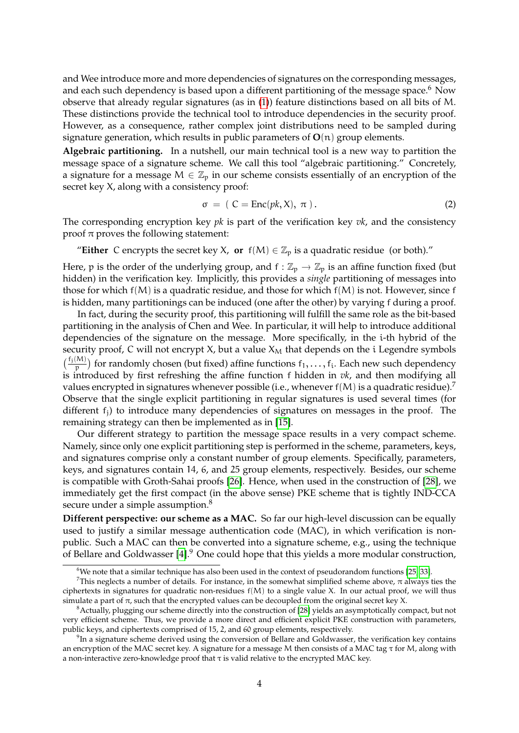and Wee introduce more and more dependencies of signatures on the corresponding messages, and each such dependency is based upon a different partitioning of the message space.<sup>6</sup> Now observe that already regular signatures (as in [\(1\)](#page-2-0)) feature distinctions based on all bits of M. These distinctions provide the technical tool to introduce dependencies in the security proof. However, as a consequence, rather complex joint distributions need to be sampled during signature generation, which results in public parameters of  $O(n)$  group elements.

**Algebraic partitioning.** In a nutshell, our main technical tool is a new way to partition the message space of a signature scheme. We call this tool "algebraic partitioning." Concretely, a signature for a message  $M \in \mathbb{Z}_p$  in our scheme consists essentially of an encryption of the secret key X, along with a consistency proof:

$$
\sigma = (C = \text{Enc}(pk, X), \pi). \tag{2}
$$

The corresponding encryption key *pk* is part of the verification key *vk*, and the consistency proof  $π$  proves the following statement:

"**Either** C encrypts the secret key X, or  $f(M) \in \mathbb{Z}_p$  is a quadratic residue (or both)."

Here, p is the order of the underlying group, and  $f : \mathbb{Z}_p \to \mathbb{Z}_p$  is an affine function fixed (but hidden) in the verification key. Implicitly, this provides a *single* partitioning of messages into those for which  $f(M)$  is a quadratic residue, and those for which  $f(M)$  is not. However, since f is hidden, many partitionings can be induced (one after the other) by varying f during a proof.

In fact, during the security proof, this partitioning will fulfill the same role as the bit-based partitioning in the analysis of Chen and Wee. In particular, it will help to introduce additional dependencies of the signature on the message. More specifically, in the i-th hybrid of the security proof, C will not encrypt X, but a value  $X_M$  that depends on the i Legendre symbols  $\left(\frac{f_j(M)}{p}\right)$  for randomly chosen (but fixed) affine functions  $f_1, \ldots, f_i$ . Each new such dependency is introduced by first refreshing the affine function f hidden in *vk*, and then modifying all values encrypted in signatures whenever possible (i.e., whenever  $f(M)$  is a quadratic residue).<sup>7</sup> Observe that the single explicit partitioning in regular signatures is used several times (for different  $f_i$ ) to introduce many dependencies of signatures on messages in the proof. The remaining strategy can then be implemented as in [\[15\]](#page-19-4).

Our different strategy to partition the message space results in a very compact scheme. Namely, since only one explicit partitioning step is performed in the scheme, parameters, keys, and signatures comprise only a constant number of group elements. Specifically, parameters, keys, and signatures contain 14, 6, and 25 group elements, respectively. Besides, our scheme is compatible with Groth-Sahai proofs [\[26\]](#page-20-8). Hence, when used in the construction of [\[28\]](#page-20-4), we immediately get the first compact (in the above sense) PKE scheme that is tightly IND-CCA secure under a simple assumption.<sup>8</sup>

**Different perspective: our scheme as a MAC.** So far our high-level discussion can be equally used to justify a similar message authentication code (MAC), in which verification is nonpublic. Such a MAC can then be converted into a signature scheme, e.g., using the technique of Bellare and Goldwasser [\[4\]](#page-19-21).<sup>9</sup> One could hope that this yields a more modular construction,

 $6$ We note that a similar technique has also been used in the context of pseudorandom functions [\[25,](#page-20-9) [33\]](#page-20-10).

<sup>&</sup>lt;sup>7</sup>This neglects a number of details. For instance, in the somewhat simplified scheme above,  $\pi$  always ties the ciphertexts in signatures for quadratic non-residues  $f(M)$  to a single value X. In our actual proof, we will thus simulate a part of  $\pi$ , such that the encrypted values can be decoupled from the original secret key X.

<sup>&</sup>lt;sup>8</sup>Actually, plugging our scheme directly into the construction of [\[28\]](#page-20-4) yields an asymptotically compact, but not very efficient scheme. Thus, we provide a more direct and efficient explicit PKE construction with parameters, public keys, and ciphertexts comprised of 15, 2, and 60 group elements, respectively.

 $^{9}$ In a signature scheme derived using the conversion of Bellare and Goldwasser, the verification key contains an encryption of the MAC secret key. A signature for a message M then consists of a MAC tag  $\tau$  for M, along with a non-interactive zero-knowledge proof that  $τ$  is valid relative to the encrypted MAC key.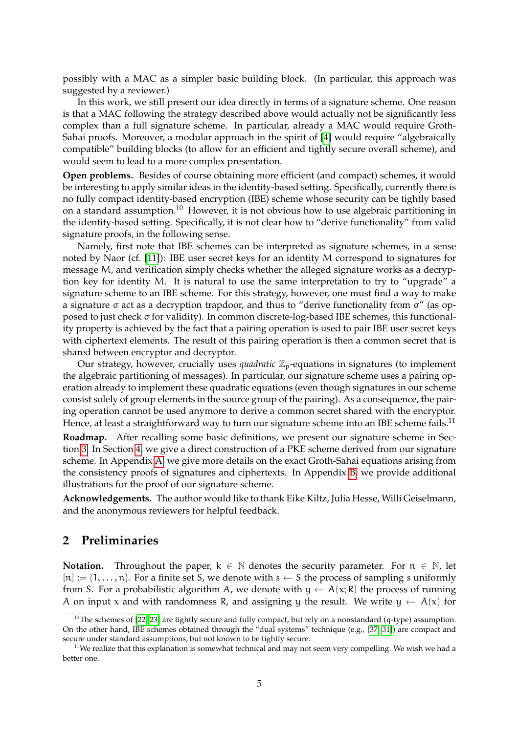possibly with a MAC as a simpler basic building block. (In particular, this approach was suggested by a reviewer.)

In this work, we still present our idea directly in terms of a signature scheme. One reason is that a MAC following the strategy described above would actually not be significantly less complex than a full signature scheme. In particular, already a MAC would require Groth-Sahai proofs. Moreover, a modular approach in the spirit of [\[4\]](#page-19-21) would require "algebraically compatible" building blocks (to allow for an efficient and tightly secure overall scheme), and would seem to lead to a more complex presentation.

**Open problems.** Besides of course obtaining more efficient (and compact) schemes, it would be interesting to apply similar ideas in the identity-based setting. Specifically, currently there is no fully compact identity-based encryption (IBE) scheme whose security can be tightly based on a standard assumption.<sup>10</sup> However, it is not obvious how to use algebraic partitioning in the identity-based setting. Specifically, it is not clear how to "derive functionality" from valid signature proofs, in the following sense.

Namely, first note that IBE schemes can be interpreted as signature schemes, in a sense noted by Naor (cf. [\[11\]](#page-19-15)): IBE user secret keys for an identity M correspond to signatures for message M, and verification simply checks whether the alleged signature works as a decryption key for identity M. It is natural to use the same interpretation to try to "upgrade" a signature scheme to an IBE scheme. For this strategy, however, one must find a way to make a signature σ act as a decryption trapdoor, and thus to "derive functionality from  $σ$ " (as opposed to just check σ for validity). In common discrete-log-based IBE schemes, this functionality property is achieved by the fact that a pairing operation is used to pair IBE user secret keys with ciphertext elements. The result of this pairing operation is then a common secret that is shared between encryptor and decryptor.

Our strategy, however, crucially uses *quadratic*  $\mathbb{Z}_p$ -equations in signatures (to implement the algebraic partitioning of messages). In particular, our signature scheme uses a pairing operation already to implement these quadratic equations (even though signatures in our scheme consist solely of group elements in the source group of the pairing). As a consequence, the pairing operation cannot be used anymore to derive a common secret shared with the encryptor. Hence, at least a straightforward way to turn our signature scheme into an IBE scheme fails.<sup>11</sup>

**Roadmap.** After recalling some basic definitions, we present our signature scheme in Section [3.](#page-9-0) In Section [4,](#page-16-0) we give a direct construction of a PKE scheme derived from our signature scheme. In Appendix [A,](#page-20-11) we give more details on the exact Groth-Sahai equations arising from the consistency proofs of signatures and ciphertexts. In Appendix [B,](#page-22-0) we provide additional illustrations for the proof of our signature scheme.

**Acknowledgements.** The author would like to thank Eike Kiltz, Julia Hesse, Willi Geiselmann, and the anonymous reviewers for helpful feedback.

## **2 Preliminaries**

**Notation.** Throughout the paper,  $k \in \mathbb{N}$  denotes the security parameter. For  $n \in \mathbb{N}$ , let  $[n] := \{1, \ldots, n\}$ . For a finite set S, we denote with  $s \leftarrow S$  the process of sampling s uniformly from S. For a probabilistic algorithm A, we denote with  $y \leftarrow A(x; R)$  the process of running A on input x and with randomness R, and assigning y the result. We write  $y \leftarrow A(x)$  for

 $10$ The schemes of [\[22,](#page-19-16) [23\]](#page-19-17) are tightly secure and fully compact, but rely on a nonstandard (q-type) assumption. On the other hand, IBE schemes obtained through the "dual systems" technique (e.g., [\[37,](#page-20-12) [31\]](#page-20-13)) are compact and secure under standard assumptions, but not known to be tightly secure.

<sup>&</sup>lt;sup>11</sup>We realize that this explanation is somewhat technical and may not seem very compelling. We wish we had a better one.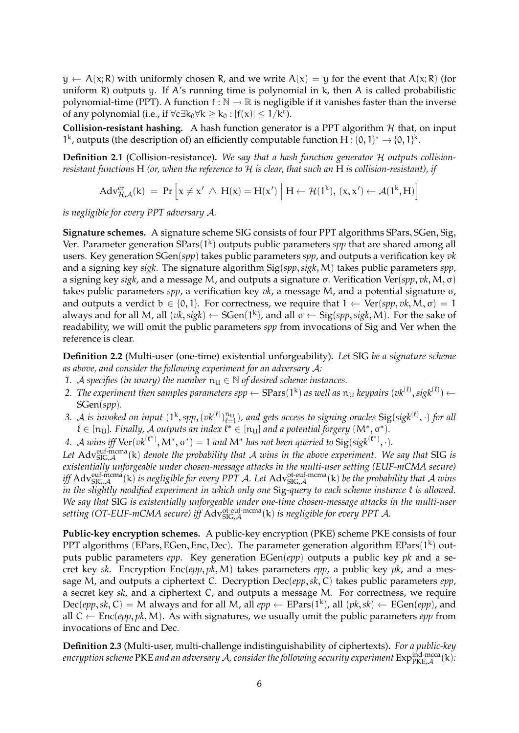$y \leftarrow A(x; R)$  with uniformly chosen R, and we write  $A(x) = y$  for the event that  $A(x; R)$  (for uniform R) outputs y. If A's running time is polynomial in k, then A is called probabilistic polynomial-time (PPT). A function  $f : \mathbb{N} \to \mathbb{R}$  is negligible if it vanishes faster than the inverse of any polynomial (i.e., if  $\forall c \exists k_0 \forall k \geq k_0 : |f(x)| \leq 1/k^c$ ).

**Collision-resistant hashing.** A hash function generator is a PPT algorithm  $H$  that, on input 1<sup>k</sup>, outputs (the description of) an efficiently computable function H : {0, 1}<sup>\*</sup>  $\rightarrow$  {0, 1}<sup>k</sup>.

**Definition 2.1** (Collision-resistance)**.** *We say that a hash function generator* H *outputs collisionresistant functions* H *(or, when the reference to* H *is clear, that such an* H *is collision-resistant), if*

$$
Adv_{\mathcal{H},\mathcal{A}}^{cr}(k) = Pr \left[ x \neq x' \land H(x) = H(x') \middle| H \leftarrow \mathcal{H}(1^k), (x,x') \leftarrow \mathcal{A}(1^k, H) \right]
$$

*is negligible for every PPT adversary* A*.*

**Signature schemes.** A signature scheme SIG consists of four PPT algorithms SPars, SGen, Sig, Ver. Parameter generation SPars(1<sup>k</sup>) outputs public parameters *spp* that are shared among all users. Key generation SGen(*spp*) takes public parameters *spp*, and outputs a verification key *vk* and a signing key *sigk*. The signature algorithm Sig(*spp*,*sigk*,M) takes public parameters *spp*, a signing key *sigk*, and a message M, and outputs a signature σ. Verification Ver(*spp*, *vk*,M, σ) takes public parameters *spp*, a verification key *vk*, a message M, and a potential signature σ, and outputs a verdict  $b \in \{0, 1\}$ . For correctness, we require that  $1 \leftarrow \text{Ver}(\textit{spp}, \textit{vk}, M, \sigma) = 1$ always and for all M, all  $(vk, sigk) \leftarrow \text{SGen}(1^k)$ , and all  $\sigma \leftarrow \text{Sig(spp, sigk, M)}$ . For the sake of readability, we will omit the public parameters *spp* from invocations of Sig and Ver when the reference is clear.

**Definition 2.2** (Multi-user (one-time) existential unforgeability)**.** *Let* SIG *be a signature scheme as above, and consider the following experiment for an adversary* A*:*

- *1. A specifies (in unary) the number*  $n_{U} \in N$  *of desired scheme instances.*
- 2. The experiment then samples parameters spp  $\leftarrow$  SPars(1<sup>k</sup>) as well as  $n_U$  keypairs  $(vk^{(\ell)}, sigk^{(\ell)}) \leftarrow$ SGen(*spp*)*.*
- 3. A is invoked on input  $(1^k, spp, (vk^{(\ell)})_{\ell=1}^{n_U})$ , and gets access to signing oracles  $Sig(sigk^{(\ell)}, \cdot)$  for all  $\ell \in [\mathfrak{n}_\mathsf{U}]$ *. Finally, A outputs an index*  $\ell^* \in [\mathfrak{n}_\mathsf{U}]$  *and a potential forgery*  $(\mathsf{M}^*, \sigma^*)$ *.*
- 4. *A* wins iff  $\text{Ver}(\nu k^{(\ell^*)}, M^*, \sigma^*) = 1$  and  $M^*$  has not been queried to  $\text{Sig}(sigk^{(\ell^*)}, \cdot)$ .

Let Adv<sub>SIG, A</sub> (k) *denote the probability that A wins in the above experiment. We say that* SIG *is existentially unforgeable under chosen-message attacks in the multi-user setting (EUF-mCMA secure) iff* Adveuf-mcma SIG,<sup>A</sup> (k) *is negligible for every PPT* A*. Let* Advot-euf-mcma SIG,<sup>A</sup> (k) *be the probability that* A *wins in the slightly modified experiment in which only one* Sig-query to each scheme instance  $\ell$  *is allowed. We say that* SIG *is existentially unforgeable under one-time chosen-message attacks in the multi-user* setting (OT-EUF-mCMA secure) iff  $\overline{\mathrm{Adv}}^{\mathrm{ot-euf-mcma}}_{\mathrm{SIG},\mathcal{A}}(\mathsf{k})$  is negligible for every PPT  $\mathcal{A}.$ 

**Public-key encryption schemes.** A public-key encryption (PKE) scheme PKE consists of four PPT algorithms (EPars, EGen, Enc, Dec). The parameter generation algorithm EPars( $1^k$ ) outputs public parameters *epp*. Key generation EGen(*epp*) outputs a public key *pk* and a secret key *sk*. Encryption Enc(*epp*, *pk*,M) takes parameters *epp*, a public key *pk*, and a message M, and outputs a ciphertext C. Decryption Dec(*epp*,*sk*, C) takes public parameters *epp*, a secret key *sk*, and a ciphertext C, and outputs a message M. For correctness, we require  $Dec(epp, sk, C) = M$  always and for all M, all  $epp \leftarrow EPars(1^k)$ , all  $(pk, sk) \leftarrow EGen(epp)$ , and all  $C \leftarrow \text{Enc}(\text{epp}, \text{pk}, M)$ . As with signatures, we usually omit the public parameters *epp* from invocations of Enc and Dec.

**Definition 2.3** (Multi-user, multi-challenge indistinguishability of ciphertexts)**.** *For a public-key encryption scheme* PKE *and an adversary* A*, consider the following security experiment* Expind-mcca PKE,A (k)*:*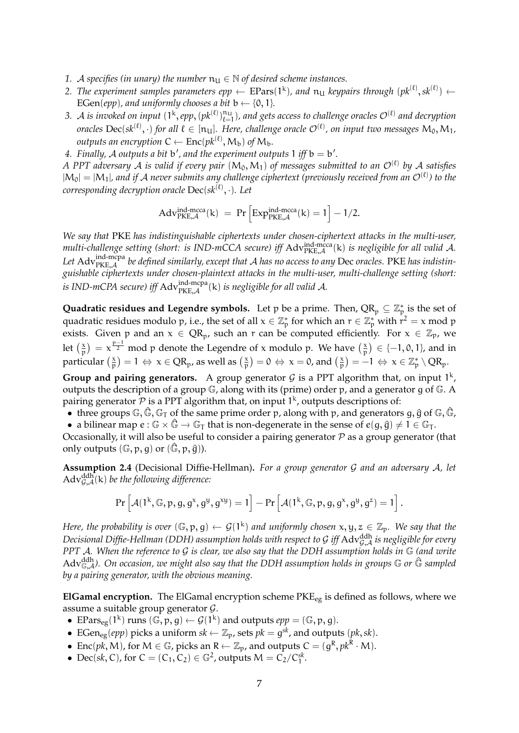- *1. A specifies (in unary) the number*  $n_U \in \mathbb{N}$  *of desired scheme instances.*
- 2. The experiment samples parameters epp  $\leftarrow$  EPars(1<sup>k</sup>), and  $n_{\text{U}}$  keypairs through  $(pk^{(\ell)}, sk^{(\ell)}) \leftarrow$ EGen(*epp*), and uniformly chooses a bit  $b \leftarrow \{0, 1\}$ .
- 3. A is invoked on input  $(1^k, epp, (pk^{(\ell)})_{\ell=1}^{\text{n}_\text{U}})$ , and gets access to challenge oracles  $\mathcal{O}^{(\ell)}$  and decryption oracles  $\rm{Dec}(sk^{(\ell)},\cdot)$  for all  $\ell\in [n_{U}].$  Here, challenge oracle  ${\cal O}^{(\ell)}$ , on input two messages  $\rm M_0,M_1$ ,  $\sigma$ *outputs an encryption* C  $\leftarrow$  Enc( $pk^{(\ell)}, M_b$ ) *of*  $M_b$ .
- 4. Finally, A outputs a bit  $b'$ , and the experiment outputs  $1$  iff  $b = b'$ .

A PPT adversary A is valid if every pair  $(M_0, M_1)$  of messages submitted to an  $\mathcal{O}^{(\ell)}$  by A satisfies  $|M_0|=|M_1|$ , and if  ${\cal A}$  never submits any challenge ciphertext (previously received from an  ${\cal O}^{(\ell)}$ ) to the *corresponding decryption oracle* Dec(*sk*(`) , ·)*. Let*

$$
Adv_{PKE,\mathcal{A}}^{ind-mcca}(k) \ = \ Pr \left[ Exp_{PKE,\mathcal{A}}^{ind-mcca}(k) = 1 \right] - 1/2.
$$

*We say that* PKE *has indistinguishable ciphertexts under chosen-ciphertext attacks in the multi-user,*  $m$ ulti-challenge setting (short: is IND-mCCA secure) iff  $\mathrm{Adv}_{\mathrm{PKE},\mathcal{A}}^{\mathrm{ind-mcca}}(k)$  is negligible for all valid  $\mathcal{A}.$ Let  $\mathrm{Adv}_{\mathrm{PKE},\mathcal{A}}^{\mathrm{ind-mcpa}}$  *be defined similarly, except that*  $\mathcal A$  *has no access to any Dec oracles.* PKE *has indistinguishable ciphertexts under chosen-plaintext attacks in the multi-user, multi-challenge setting (short:* is IND-mCPA secure) iff  $\mathrm{Adv}_{\mathrm{PKE},\mathcal{A}}^{\mathrm{ind-mcpa}}(\mathsf{k})$  is negligible for all valid  $\mathcal{A}$ *.* 

**Quadratic residues and Legendre symbols.** Let p be a prime. Then,  $QR_p \subseteq \mathbb{Z}_p^*$  is the set of quadratic residues modulo p, i.e., the set of all  $x \in \mathbb{Z}_p^*$  for which an  $r \in \mathbb{Z}_p^*$  with  $r^2 = x$  mod p exists. Given p and an  $x \in QR_p$ , such an r can be computed efficiently. For  $x \in \mathbb{Z}_p$ , we let  $\left(\frac{x}{n}\right)$  $\left(\frac{x}{p}\right) = x^{\frac{p-1}{2}}$  mod p denote the Legendre of x modulo p. We have  $\left(\frac{x}{p}\right)$  $\left(\frac{x}{p}\right) \in \{-1, 0, 1\}$ , and in particular  $\left(\frac{x}{p}\right)$  $\left(\frac{x}{p}\right) = 1 \Leftrightarrow x \in QR_p$ , as well as  $\left(\frac{x}{p}\right)$  $\left(\frac{\mathbf{x}}{\mathbf{p}}\right) = 0 \Leftrightarrow \mathbf{x} = 0$ , and  $\left(\frac{\mathbf{x}}{\mathbf{p}}\right)$  $\left(\frac{x}{p}\right) = -1 \Leftrightarrow x \in \mathbb{Z}_p^* \setminus QR_p.$ 

**Group and pairing generators.** A group generator  $G$  is a PPT algorithm that, on input  $1^k$ , outputs the description of a group  $\mathbb{G}$ , along with its (prime) order p, and a generator g of  $\mathbb{G}$ . A pairing generator  $\mathcal P$  is a PPT algorithm that, on input  $1^\mathsf{k}$ , outputs descriptions of:

- three groups  $\mathbb{G}, \mathbb{G}, \mathbb{G}_T$  of the same prime order p, along with p, and generators g,  $\hat{g}$  of  $\mathbb{G}, \mathbb{G}$ ,
- a bilinear map  $e: \mathbb{G} \times \widehat{\mathbb{G}} \to \mathbb{G}_T$  that is non-degenerate in the sense of  $e(g, \hat{g}) \neq 1 \in \mathbb{G}_T$ .

Occasionally, it will also be useful to consider a pairing generator  $P$  as a group generator (that only outputs  $(\mathbb{G}, p, q)$  or  $(\mathbb{G}, p, \hat{q})$ ).

**Assumption 2.4** (Decisional Diffie-Hellman)**.** *For a group generator* G *and an adversary* A*, let*  $\mathrm{Adv}_{\mathcal{G},\mathcal{A}}^{\mathrm{ddh}}(\mathrm{k})$  *be the following difference:* 

$$
\Pr\left[\mathcal{A}(1^k,\mathbb{G},p,g,g^x,g^y,g^{xy})=1\right]-\Pr\left[\mathcal{A}(1^k,\mathbb{G},p,g,g^x,g^y,g^z)=1\right].
$$

*Here, the probability is over*  $(\mathbb{G}, p, g) \leftarrow \mathcal{G}(1^k)$  *and uniformly chosen*  $x, y, z \in \mathbb{Z}_p$ *. We say that the Decisional Diffie-Hellman (DDH) assumption holds with respect to* G *iff* Advddh <sup>G</sup>,<sup>A</sup> *is negligible for every PPT* A*. When the reference to* G *is clear, we also say that the DDH assumption holds in* G *(and write* Advddh <sup>G</sup>,A*). On occasion, we might also say that the DDH assumption holds in groups* G *or* G^ *sampled by a pairing generator, with the obvious meaning.*

**ElGamal encryption.** The ElGamal encryption scheme PKE<sub>eg</sub> is defined as follows, where we assume a suitable group generator G.

- EPars<sub>eg</sub>(1<sup>k</sup>) runs ( $\mathbb{G}, \mathfrak{p}, \mathfrak{g}$ )  $\leftarrow \mathcal{G}(1^k)$  and outputs  $epp = (\mathbb{G}, \mathfrak{p}, \mathfrak{g})$ .
- EGen<sub>eg</sub>(*epp*) picks a uniform  $sk \leftarrow \mathbb{Z}_p$ , sets  $pk = g^{sk}$ , and outputs  $(pk, sk)$ .
- Enc(*pk*, M), for  $M \in \mathbb{G}$ , picks an  $R \leftarrow \mathbb{Z}_p$ , and outputs  $C = (g^R, pk^R \cdot M)$ .
- Dec(sk, C), for  $C = (C_1, C_2) \in \mathbb{G}^2$ , outputs  $M = C_2/C_1^{sk}$ .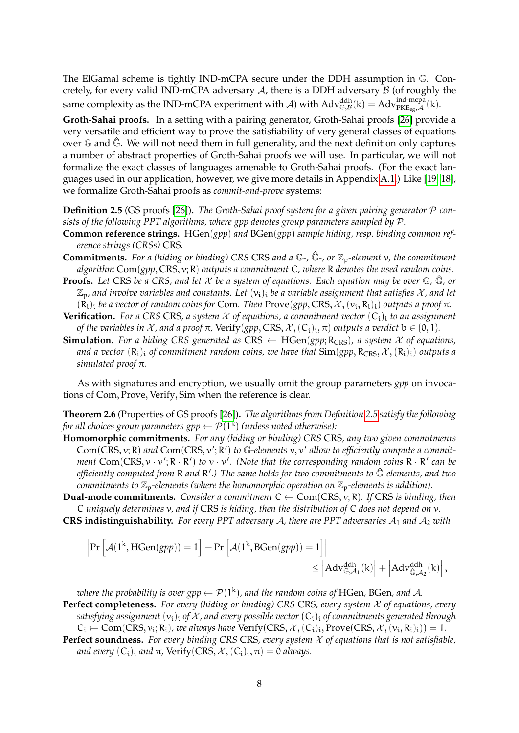The ElGamal scheme is tightly IND-mCPA secure under the DDH assumption in G. Concretely, for every valid IND-mCPA adversary  $A$ , there is a DDH adversary  $B$  (of roughly the same complexity as the IND-mCPA experiment with A) with  $\mathrm{Adv}_{\mathbb{G},\mathcal{B}}^{\mathrm{ddh}}(k) = \mathrm{Adv}_{\mathrm{PKE}_{\mathrm{eg}},\mathcal{A}}^{\mathrm{ind-mcpa}}(k)$ .

**Groth-Sahai proofs.** In a setting with a pairing generator, Groth-Sahai proofs [\[26\]](#page-20-8) provide a very versatile and efficient way to prove the satisfiability of very general classes of equations over  $\mathbb G$  and  $\hat{\mathbb G}$ . We will not need them in full generality, and the next definition only captures a number of abstract properties of Groth-Sahai proofs we will use. In particular, we will not formalize the exact classes of languages amenable to Groth-Sahai proofs. (For the exact languages used in our application, however, we give more details in Appendix [A.1.](#page-20-14)) Like [\[19,](#page-19-22) [18\]](#page-19-23), we formalize Groth-Sahai proofs as *commit-and-prove* systems:

<span id="page-8-0"></span>**Definition 2.5** (GS proofs [\[26\]](#page-20-8))**.** *The Groth-Sahai proof system for a given pairing generator* P *consists of the following PPT algorithms, where gpp denotes group parameters sampled by* P*.*

- **Common reference strings.** HGen(*gpp*) *and* BGen(*gpp*) *sample hiding, resp. binding common reference strings (CRSs)* CRS*.*
- **Commitments.** For a (hiding or binding) CRS CRS and a  $\mathbb{G}$ -,  $\hat{\mathbb{G}}$ -, or  $\mathbb{Z}_p$ -element v, the commitment *algorithm* Com(*gpp*, CRS, v; R) *outputs a commitment* C*, where* R *denotes the used random coins.*
- **Proofs.** Let CRS be a CRS, and let  $X$  be a system of equations. Each equation may be over  $\mathbb{G}$ ,  $\hat{\mathbb{G}}$ , or  $\mathbb{Z}_p$ , and involve variables and constants. Let  $(v_i)_i$  be a variable assignment that satisfies X, and let  $(R_i)_i$  *be a vector of random coins for* Com. Then  $Prove(gpp,CRS, X, (v_i, R_i)_i)$  *outputs a proof*  $\pi$ *.*
- **Verification.** For a CRS CRS, a system  $X$  of equations, a commitment vector  $(C_i)_i$  to an assignment of the variables in  $\mathcal X$  , and a proof  $\pi$ ,  $\text{Verify}(gpp,\text{CRS},\mathcal X,(\textsf{C}_\textsf{i})_\textsf{i},\pi)$  outputs a verdict  $\mathtt{b}\in\{0,1\}.$
- **Simulation.** For a hiding CRS generated as CRS  $\leftarrow$  HGen(gpp; R<sub>CRS</sub>), a system X of equations, *and a vector*  $(R_i)$  *of commitment random coins, we have that*  $Sim(gpp, R_{CRS}, \mathcal{X}, (R_i)_i)$  *outputs a simulated proof* π*.*

As with signatures and encryption, we usually omit the group parameters *gpp* on invocations of Com, Prove, Verify, Sim when the reference is clear.

<span id="page-8-1"></span>**Theorem 2.6** (Properties of GS proofs [\[26\]](#page-20-8))**.** *The algorithms from Definition [2.5](#page-8-0) satisfy the following for all choices group parameters gpp* ←  $\mathcal{P}(1^k)$  (unless noted otherwise):<br>Users no served is a gravitation of a Fanam (kiding on kinding) GBC GB

- **Homomorphic commitments.** *For any (hiding or binding) CRS* CRS*, any two given commitments* Com(CRS, v; R) and Com(CRS, v'; R') to G-elements v, v' allow to efficiently compute a commit*ment*  $Com(CRS, v \cdot v'; R \cdot R')$  to  $v \cdot v'$ . (Note that the corresponding random coins  $R \cdot R'$  can be *efficiently computed from* R *and* R 0 *.) The same holds for two commitments to* G^ *-elements, and two commitments to*  $\mathbb{Z}_p$ -elements (where the homomorphic operation on  $\mathbb{Z}_p$ -elements is addition).
- **Dual-mode commitments.** *Consider a commitment*  $C \leftarrow \text{Com(CRS}, v; R)$ *. If* CRS *is binding*, *then* C *uniquely determines* v*, and if* CRS *is hiding, then the distribution of* C *does not depend on* v*.*

**CRS indistinguishability.** For every PPT adversary A, there are PPT adversaries  $A_1$  and  $A_2$  with

$$
\begin{aligned} \left|\Pr\left[\mathcal{A}(1^k,\text{HGen}(gpp))=1\right]-\Pr\left[\mathcal{A}(1^k,\text{BGen}(gpp))=1\right]\right|\\ &\leq \left|\text{Adv}_{\mathbb{G},\mathcal{A}_1}^{\text{ddh}}(\textbf{k})\right|+\left|\text{Adv}_{\mathbb{G},\mathcal{A}_2}^{\text{ddh}}(\textbf{k})\right|, \end{aligned}
$$

*where the probability is over*  $gpp \leftarrow P(1^k)$ *, and the random coins of HGen, BGen, and A.* 

- **Perfect completeness.** *For every (hiding or binding) CRS* CRS*, every system* X *of equations, every satisfying assignment*  $(v_i)_i$  *of X, and every possible vector*  $(C_i)_i$  *of commitments generated through*  $C_i \leftarrow \text{Com(CRS}, v_i; R_i)$ , we always have Verify(CRS,  $\mathcal{X}, (C_i)_i$ , Prove(CRS,  $\mathcal{X}, (v_i, R_i)_i) = 1$ .
- **Perfect soundness.** *For every binding CRS* CRS*, every system* X *of equations that is not satisfiable, and every*  $(C_i)_i$  *and π,*  $Verify(CRS, \mathcal{X}, (C_i)_i, \pi) = 0$  always.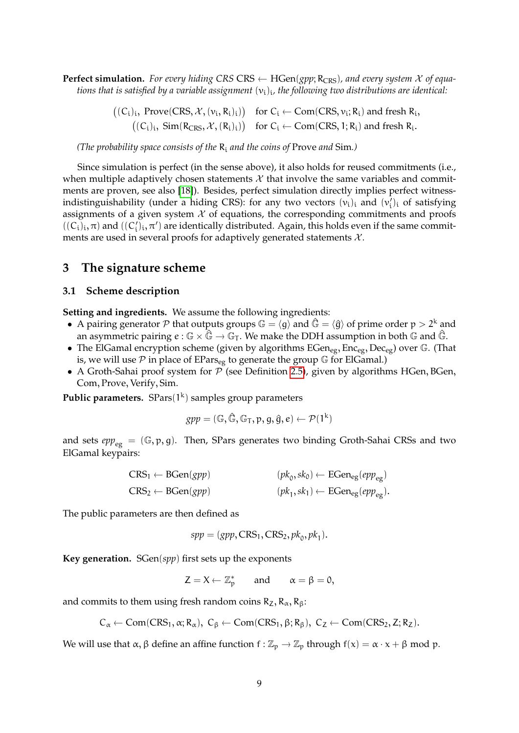**Perfect simulation.** For every hiding CRS CRS  $\leftarrow$  HGen(*gpp*; R<sub>CRS</sub>), and every system X of equa*tions that is satisfied by a variable assignment* (vi)<sup>i</sup> *, the following two distributions are identical:*

> $((C_i)_i, \text{ Prove}(CRS, \mathcal{X}, (v_i, R_i)_i)) \text{ for } C_i \leftarrow \text{Com}(CRS, v_i; R_i) \text{ and fresh } R_i,$  $((C_i)_i, Sim(R_{CRS}, X, (R_i)_i))$  for  $C_i \leftarrow Com(CRS, 1; R_i)$  and fresh  $R_i$ .

*(The probability space consists of the* R<sup>i</sup> *and the coins of* Prove *and* Sim*.)*

Since simulation is perfect (in the sense above), it also holds for reused commitments (i.e., when multiple adaptively chosen statements  $\mathcal X$  that involve the same variables and commitments are proven, see also [\[18\]](#page-19-23)). Besides, perfect simulation directly implies perfect witnessindistinguishability (under a hiding CRS): for any two vectors  $(v_i)_i$  and  $(v'_i)_i$  of satisfying assignments of a given system  $X$  of equations, the corresponding commitments and proofs  $((C_i)_i, \pi)$  and  $((C'_i)_i, \pi')$  are identically distributed. Again, this holds even if the same commitments are used in several proofs for adaptively generated statements  $X$ .

## <span id="page-9-0"></span>**3 The signature scheme**

#### <span id="page-9-1"></span>**3.1 Scheme description**

**Setting and ingredients.** We assume the following ingredients:

- A pairing generator  $P$  that outputs groups  $\mathbb{G} = \langle g \rangle$  and  $\hat{\mathbb{G}} = \langle \hat{g} \rangle$  of prime order  $p > 2^k$  and an asymmetric pairing  $e : \mathbb{G} \times \hat{\mathbb{G}} \to \mathbb{G}_T$ . We make the DDH assumption in both G and  $\mathbb{G}$ .
- The ElGamal encryption scheme (given by algorithms  $EGen_{eg}$ ,  $Enc_{eg}$ ,  $Dec_{eg}$ ) over  $\mathbb{G}$ . (That is, we will use  $P$  in place of EPars<sub>eg</sub> to generate the group  $\mathbb G$  for ElGamal.)
- A Groth-Sahai proof system for  $P$  (see Definition [2.5\)](#page-8-0), given by algorithms HGen, BGen, Com, Prove, Verify, Sim.

Public parameters. SPars(1<sup>k</sup>) samples group parameters

$$
gpp = (\mathbb{G}, \mathbb{G}, \mathbb{G}_T, p, g, \hat{g}, e) \leftarrow \mathcal{P}(1^k)
$$

and sets  $epp_{eg} = (\mathbb{G}, p, g)$ . Then, SPars generates two binding Groth-Sahai CRSs and two ElGamal keypairs:

$$
CRS1 \leftarrow BGen(gpp) \qquad (pk0, sk0) \leftarrow EGeneg(eppeg)
$$
  

$$
CRS2 \leftarrow BGen(gpp) \qquad (pk1, sk1) \leftarrow EGeneg(eppeg).
$$

The public parameters are then defined as

$$
spp = (gpp, CRS_1, CRS_2, pk_0, pk_1).
$$

**Key generation.** SGen(*spp*) first sets up the exponents

 $Z = X \leftarrow \mathbb{Z}_p^*$  and  $\alpha = \beta = 0$ ,

and commits to them using fresh random coins  $R_Z$ ,  $R_\alpha$ ,  $R_\beta$ :

$$
C_{\alpha} \leftarrow Com(CRS_1, \alpha; R_{\alpha}), \ C_{\beta} \leftarrow Com(CRS_1, \beta; R_{\beta}), \ C_Z \leftarrow Com(CRS_2, Z; R_Z).
$$

We will use that  $\alpha$ ,  $\beta$  define an affine function  $f : \mathbb{Z}_p \to \mathbb{Z}_p$  through  $f(x) = \alpha \cdot x + \beta$  mod p.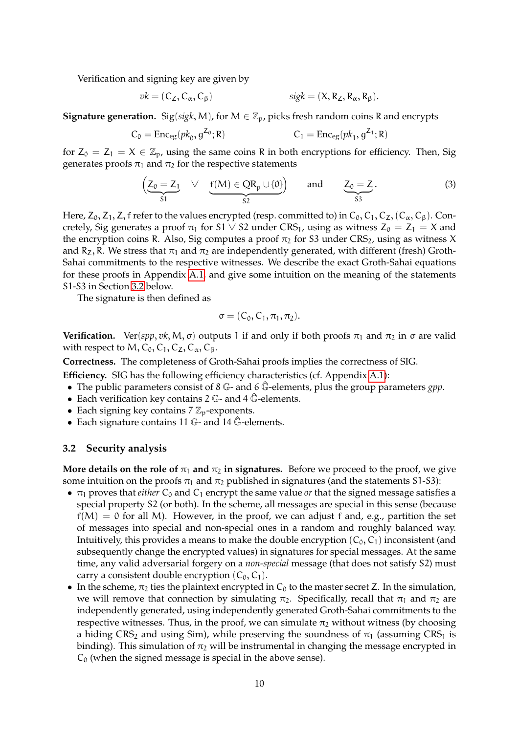Verification and signing key are given by

$$
vk = (C_Z, C_\alpha, C_\beta) \qquad sigk = (X, R_Z, R_\alpha, R_\beta).
$$

**Signature generation.** Sig(*sigk*, M), for  $M \in \mathbb{Z}_p$ , picks fresh random coins R and encrypts

$$
C_0 = \text{Enc}_{eg}(pk_0, g^{Z_0}; R)
$$
  $C_1 = \text{Enc}_{eg}(pk_1, g^{Z_1}; R)$ 

for  $Z_0 = Z_1 = X \in \mathbb{Z}_p$ , using the same coins R in both encryptions for efficiency. Then, Sig generates proofs  $\pi_1$  and  $\pi_2$  for the respective statements

<span id="page-10-1"></span>
$$
\left(\underbrace{Z_0 = Z_1}_{S1} \quad \vee \quad \underbrace{f(M) \in QR_p \cup \{0\}}_{S2}\right) \qquad \text{and} \qquad \underbrace{Z_0 = Z}_{S3}.
$$
 (3)

Here,  $Z_0$ ,  $Z_1$ ,  $Z$ , f refer to the values encrypted (resp. committed to) in  $C_0$ ,  $C_1$ ,  $C_Z$ ,  $(C_\alpha, C_\beta)$ . Concretely, Sig generates a proof  $\pi_1$  for S1  $\vee$  S2 under CRS<sub>1</sub>, using as witness  $Z_0 = Z_1 = X$  and the encryption coins R. Also, Sig computes a proof  $\pi_2$  for S3 under CRS<sub>2</sub>, using as witness X and  $R_Z$ , R. We stress that  $\pi_1$  and  $\pi_2$  are independently generated, with different (fresh) Groth-Sahai commitments to the respective witnesses. We describe the exact Groth-Sahai equations for these proofs in Appendix [A.1,](#page-20-14) and give some intuition on the meaning of the statements S1-S3 in Section [3.2](#page-10-0) below.

The signature is then defined as

$$
\sigma=(C_0,C_1,\pi_1,\pi_2).
$$

**Verification.** Ver(*spp*, *vk*, M,  $\sigma$ ) outputs 1 if and only if both proofs  $\pi_1$  and  $\pi_2$  in  $\sigma$  are valid with respect to M,  $C_0$ ,  $C_1$ ,  $C_Z$ ,  $C_\alpha$ ,  $C_\beta$ .

**Correctness.** The completeness of Groth-Sahai proofs implies the correctness of SIG.

**Efficiency.** SIG has the following efficiency characteristics (cf. Appendix [A.1\)](#page-20-14):

- The public parameters consist of 8 G- and 6  $\hat{\mathbb{G}}$ -elements, plus the group parameters *gpp*.
- Each verification key contains 2  $\mathbb{G}$  and 4  $\widehat{\mathbb{G}}$ -elements.
- Each signing key contains  $7 \mathbb{Z}_p$ -exponents.
- Each signature contains 11  $\mathbb{G}$  and 14  $\mathbb{G}$ -elements.

#### <span id="page-10-0"></span>**3.2 Security analysis**

**More details on the role of**  $\pi_1$  **and**  $\pi_2$  **in signatures.** Before we proceed to the proof, we give some intuition on the proofs  $\pi_1$  and  $\pi_2$  published in signatures (and the statements S1-S3):

- $\pi_1$  proves that *either*  $C_0$  and  $C_1$  encrypt the same value *or* that the signed message satisfies a special property S2 (or both). In the scheme, all messages are special in this sense (because  $f(M) = 0$  for all M). However, in the proof, we can adjust f and, e.g., partition the set of messages into special and non-special ones in a random and roughly balanced way. Intuitively, this provides a means to make the double encryption  $(C_0, C_1)$  inconsistent (and subsequently change the encrypted values) in signatures for special messages. At the same time, any valid adversarial forgery on a *non-special* message (that does not satisfy S2) must carry a consistent double encryption  $(C_0, C_1)$ .
- In the scheme,  $\pi_2$  ties the plaintext encrypted in  $C_0$  to the master secret Z. In the simulation, we will remove that connection by simulating  $\pi_2$ . Specifically, recall that  $\pi_1$  and  $\pi_2$  are independently generated, using independently generated Groth-Sahai commitments to the respective witnesses. Thus, in the proof, we can simulate  $\pi_2$  without witness (by choosing a hiding CRS<sub>2</sub> and using Sim), while preserving the soundness of  $\pi_1$  (assuming CRS<sub>1</sub> is binding). This simulation of  $\pi_2$  will be instrumental in changing the message encrypted in  $C_0$  (when the signed message is special in the above sense).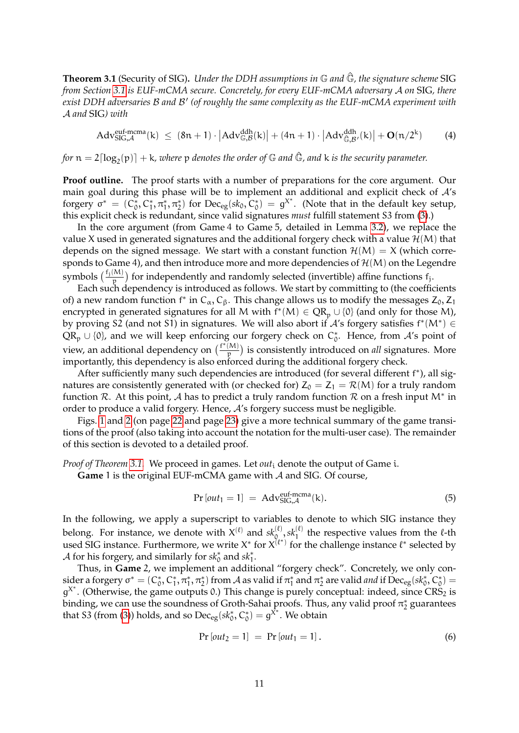<span id="page-11-0"></span>**Theorem 3.1** (Security of SIG)**.** *Under the DDH assumptions in* G *and* G^ *, the signature scheme* SIG *from Section [3.1](#page-9-1) is EUF-mCMA secure. Concretely, for every EUF-mCMA adversary* A *on* SIG*, there exist DDH adversaries* B *and* B 0 *(of roughly the same complexity as the EUF-mCMA experiment with* A *and* SIG*) with*

$$
Adv_{SIG,\mathcal{A}}^{cut\text{-}mcma}(k) \le (8n+1) \cdot |Adv_{G,\mathcal{B}}^{ddh}(k)| + (4n+1) \cdot |Adv_{\hat{G},\mathcal{B}}^{ddh}(k)| + O(n/2^k)
$$
(4)

for  $n = 2\lceil \log_2(p) \rceil + \mathsf{k}$ , where  $p$  denotes the order of  $\mathbb G$  and  $\hat{\mathbb G}$ , and  $\mathsf k$  is the security parameter.

**Proof outline.** The proof starts with a number of preparations for the core argument. Our main goal during this phase will be to implement an additional and explicit check of A's forgery  $\sigma^* = (C_0^*, C_1^*, \pi_1^*, \pi_2^*)$  for  $Dec_{eg}(sk_0, C_0^*) = g^{X^*}$ . (Note that in the default key setup, this explicit check is redundant, since valid signatures *must* fulfill statement S3 from [\(3\)](#page-10-1).)

In the core argument (from Game 4 to Game 5, detailed in Lemma [3.2\)](#page-12-0), we replace the value X used in generated signatures and the additional forgery check with a value  $\mathcal{H}(M)$  that depends on the signed message. We start with a constant function  $\mathcal{H}(M) = X$  (which corresponds to Game 4), and then introduce more and more dependencies of  $\mathcal{H}(M)$  on the Legendre symbols  $\left(\frac{f_j(M)}{p}\right)$  for independently and randomly selected (invertible) affine functions  $f_j$ .

Each such dependency is introduced as follows. We start by committing to (the coefficients of) a new random function  $f^*$  in  $C_\alpha, C_\beta$ . This change allows us to modify the messages  $Z_0, Z_1$ encrypted in generated signatures for all M with  $f^*(M) \in QR_p \cup \{0\}$  (and only for those M), by proving S2 (and not S1) in signatures. We will also abort if A's forgery satisfies  $f^*(M^*) \in$  $QR_p \cup \{0\}$ , and we will keep enforcing our forgery check on  $C_0^*$ . Hence, from A's point of view, an additional dependency on  $\left(\frac{f^*(M)}{n}\right)$  $\binom{[M]}{p}$  is consistently introduced on *all* signatures. More importantly, this dependency is also enforced during the additional forgery check.

After sufficiently many such dependencies are introduced (for several different f\*), all signatures are consistently generated with (or checked for)  $Z_0 = Z_1 = \mathcal{R}(M)$  for a truly random function  $\mathcal{R}$ . At this point, A has to predict a truly random function  $\mathcal{R}$  on a fresh input  $M^*$  in order to produce a valid forgery. Hence, A's forgery success must be negligible.

Figs. [1](#page-22-1) and [2](#page-23-0) (on page [22](#page-22-1) and page [23\)](#page-23-0) give a more technical summary of the game transitions of the proof (also taking into account the notation for the multi-user case). The remainder of this section is devoted to a detailed proof.

*Proof of Theorem [3.1.](#page-11-0)* We proceed in games. Let *out*<sub>i</sub> denote the output of Game i.

**Game** 1 is the original EUF-mCMA game with A and SIG. Of course,

<span id="page-11-1"></span>
$$
Pr\left[\text{out}_1 = 1\right] = \text{Adv}_{\text{SIG},\mathcal{A}}^{\text{euf-mcma}}(k). \tag{5}
$$

In the following, we apply a superscript to variables to denote to which SIG instance they belong. For instance, we denote with  $X^{(\ell)}$  and  $sk^{(\ell)}_{Q_1}, sk^{(\ell)}_1$  the respective values from the  $\ell$ -th used SIG instance. Furthermore, we write  $X^*$  for  $X^{(\ell^*)}$  for the challenge instance  $\ell^*$  selected by A for his forgery, and similarly for  $sk_0^*$  and  $sk_1^*$ .

Thus, in **Game** 2, we implement an additional "forgery check". Concretely, we only consider a forgery  $\sigma^* = (C_0^*, C_1^*, \pi_1^*, \pi_2^*)$  from A as valid if  $\pi_1^*$  and  $\pi_2^*$  are valid *and* if  $\text{Dec}_{eg}(sk_0^*, C_0^*)$  $g^{X^*}$ . (Otherwise, the game outputs 0.) This change is purely conceptual: indeed, since  $CRS_2$  is binding, we can use the soundness of Groth-Sahai proofs. Thus, any valid proof  $\pi_2^*$  guarantees that S3 (from [\(3\)](#page-10-1)) holds, and so  $\text{Dec}_{eg}(sk_0^*, C_0^*) = g^{\tilde{X}^*}.$  We obtain

$$
Pr[out_2 = 1] = Pr[out_1 = 1]. \tag{6}
$$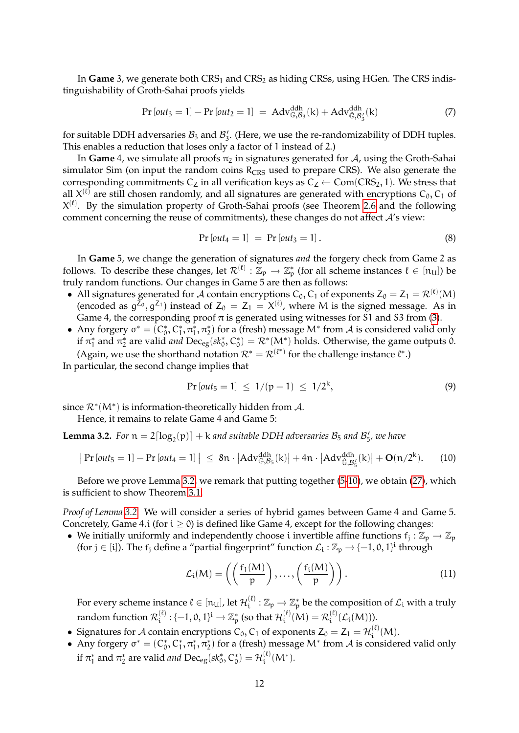In **Game** 3, we generate both CRS<sub>1</sub> and CRS<sub>2</sub> as hiding CRSs, using HGen. The CRS indistinguishability of Groth-Sahai proofs yields

$$
\Pr\left[out_3 = 1\right] - \Pr\left[out_2 = 1\right] \ = \ \text{Adv}_{\mathbb{G},\mathcal{B}_3}^{\text{ddh}}(k) + \text{Adv}_{\mathbb{G},\mathcal{B}_3}^{\text{ddh}}(k) \tag{7}
$$

for suitable DDH adversaries  $B_3$  and  $B'_3$ . (Here, we use the re-randomizability of DDH tuples. This enables a reduction that loses only a factor of 1 instead of 2.)

In **Game** 4, we simulate all proofs  $\pi_2$  in signatures generated for A, using the Groth-Sahai simulator Sim (on input the random coins  $R_{CRS}$  used to prepare CRS). We also generate the corresponding commitments  $C_Z$  in all verification keys as  $C_Z \leftarrow \text{Com}(CRS_2, 1)$ . We stress that all  $X^{(\ell)}$  are still chosen randomly, and all signatures are generated with encryptions  $C_0, C_1$  of  $X^{(\ell)}$ . By the simulation property of Groth-Sahai proofs (see Theorem [2.6](#page-8-1) and the following comment concerning the reuse of commitments), these changes do not affect  $A$ 's view:

$$
Pr[out_4 = 1] = Pr[out_3 = 1]. \tag{8}
$$

In **Game** 5, we change the generation of signatures *and* the forgery check from Game 2 as follows. To describe these changes, let  $\mathcal{R}^{(\ell)} : \mathbb{Z}_p \to \mathbb{Z}_p^*$  (for all scheme instances  $\ell \in [n_U]$ ) be truly random functions. Our changes in Game 5 are then as follows:

- All signatures generated for A contain encryptions  $C_0$ ,  $C_1$  of exponents  $Z_0 = Z_1 = \mathcal{R}^{(\ell)}(M)$ (encoded as  $g^{Z_0}, g^{Z_1}$ ) instead of  $Z_0 = Z_1 = X^{(\ell)}$ , where M is the signed message. As in Game 4, the corresponding proof  $\pi$  is generated using witnesses for S1 and S3 from [\(3\)](#page-10-1).
- Any forgery  $\sigma^* = (C_0^*, C_1^*, \pi_1^*, \pi_2^*)$  for a (fresh) message  $M^*$  from  $A$  is considered valid only if  $\pi_1^*$  and  $\pi_2^*$  are valid *and*  $\text{Dec}_{eg}(sk_0^*, C_0^*) = \mathcal{R}^*(M^*)$  holds. Otherwise, the game outputs 0. (Again, we use the shorthand notation  $\mathcal{R}^* = \mathcal{R}^{(\ell^*)}$  for the challenge instance  $\ell^*$ .)

In particular, the second change implies that

$$
Pr\left[out_{5}=1\right] \leq 1/(p-1) \leq 1/2^{k}, \tag{9}
$$

since  $\mathcal{R}^*(M^*)$  is information-theoretically hidden from A.

Hence, it remains to relate Game 4 and Game 5:

<span id="page-12-0"></span>**Lemma 3.2.** For  $n = 2\lceil \log_2(p) \rceil + k$  *and suitable DDH adversaries*  $\mathcal{B}_5$  *and*  $\mathcal{B}'_5$ *, we have* 

<span id="page-12-1"></span>
$$
\left| \Pr \left[ \text{out}_5 = 1 \right] - \Pr \left[ \text{out}_4 = 1 \right] \right| \leq 8\pi \cdot \left| \text{Adv}_{\mathbb{G}, \mathcal{B}_5}^{\text{ddh}}(k) \right| + 4\pi \cdot \left| \text{Adv}_{\mathbb{G}, \mathcal{B}_5'}^{\text{ddh}}(k) \right| + O(\pi/2^k). \tag{10}
$$

Before we prove Lemma [3.2,](#page-12-0) we remark that putting together [\(5](#page-11-1)[-10\)](#page-12-1), we obtain [\(27\)](#page-18-0), which is sufficient to show Theorem [3.1.](#page-11-0)

*Proof of Lemma [3.2.](#page-12-0)* We will consider a series of hybrid games between Game 4 and Game 5. Concretely, Game 4.i (for  $i \ge 0$ ) is defined like Game 4, except for the following changes:

• We initially uniformly and independently choose i invertible affine functions  $f_j : \mathbb{Z}_p \to \mathbb{Z}_p$ (for  $j \in [i]$ ). The  $f_j$  define a "partial fingerprint" function  $\mathcal{L}_i : \mathbb{Z}_p \to \{-1, 0, 1\}^i$  through

<span id="page-12-2"></span>
$$
\mathcal{L}_{i}(M) = \left( \left( \frac{f_{1}(M)}{p} \right), \dots, \left( \frac{f_{i}(M)}{p} \right) \right). \tag{11}
$$

For every scheme instance  $\ell \in [\mathfrak{n}_\mathsf{U}]$ , let  $\mathcal{H}^{(\ell)}_\mathsf{i}$  $\mathcal{L}_{i}^{(\ell)}: \mathbb{Z}_{p} \to \mathbb{Z}_{p}^{*}$  be the composition of  $\mathcal{L}_{i}$  with a truly random function  $\mathcal{R}^{(\ell)}_{\text{i}}$  $\mathbb{Z}_{\mathfrak{p}}^{\left(\ell\right)}:\{-1,0,1\}^{\mathfrak{i}}\to\mathbb{Z}_{\mathfrak{p}}^{*}$  (so that  $\mathcal{H}_{\mathfrak{i}}^{\left(\ell\right)}$  $i^{(\ell)}(M) = \mathcal{R}_i^{(\ell)}$  $\mathcal{L}_{i}^{(\mathfrak{c})}(\mathcal{L}_{i}(M))).$ 

- Signatures for A contain encryptions  $C_0$ ,  $C_1$  of exponents  $Z_0 = Z_1 = \mathcal{H}_i^{(\ell)}$  $i^{\left(\mathfrak{c}\right)}(M).$
- Any forgery  $\sigma^* = (C_0^*, C_1^*, \pi_1^*, \pi_2^*)$  for a (fresh) message  $M^*$  from  $A$  is considered valid only if  $\pi_1^*$  and  $\pi_2^*$  are valid *and*  $\text{Dec}_{\text{eg}}(sk_0^*,C_0^*)=\mathcal{H}^{(\ell)}_{\text{i}}$  $i^{(\ell)}(M^*).$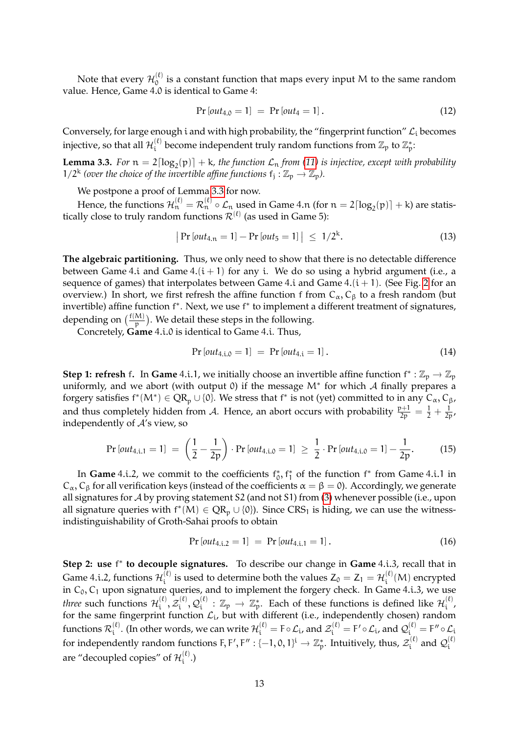Note that every  $\mathcal{H}_0^{(\ell)}$  $\sigma_0^{(t)}$  is a constant function that maps every input M to the same random value. Hence, Game 4.0 is identical to Game 4:

<span id="page-13-2"></span>
$$
Pr[out_{4,0} = 1] = Pr[out_4 = 1]. \qquad (12)
$$

Conversely, for large enough i and with high probability, the "fingerprint function"  $\mathcal{L}_i$  becomes injective, so that all  $\mathcal{H}^{(\ell)}_{\text{i}}$  $\mathcal{L}^{(l)}_i$  become independent truly random functions from  $\mathbb{Z}_p$  to  $\mathbb{Z}_p^*$ :

<span id="page-13-0"></span>**Lemma 3.3.** For  $n = 2\lceil \log_2(p) \rceil + k$ , the function  $\mathcal{L}_n$  from [\(11\)](#page-12-2) is injective, except with probability  $1/2^k$  (over the choice of the invertible affine functions  $f_j : \mathbb{Z}_p \to \mathbb{Z}_p$ ).

We postpone a proof of Lemma [3.3](#page-13-0) for now.

Hence, the functions  $\mathcal{H}_n^{(\ell)} = \mathcal{R}_n^{(\ell)} \circ \mathcal{L}_n$  used in Game 4.n (for  $n = 2\lceil \log_2(p) \rceil + k$ ) are statistically close to truly random functions  $\mathcal{R}^{(\ell)}$  (as used in Game 5):

<span id="page-13-3"></span>
$$
|\Pr[\text{out}_{4,n} = 1] - \Pr[\text{out}_5 = 1]| \le 1/2^k. \tag{13}
$$

**The algebraic partitioning.** Thus, we only need to show that there is no detectable difference between Game 4.i and Game  $4.(i + 1)$  for any i. We do so using a hybrid argument (i.e., a sequence of games) that interpolates between Game 4.i and Game  $4.(i + 1)$ . (See Fig. [2](#page-23-0) for an overview.) In short, we first refresh the affine function f from  $C_{\alpha}$ ,  $C_{\beta}$  to a fresh random (but invertible) affine function f\*. Next, we use f\* to implement a different treatment of signatures, depending on  $\left(\frac{f(M)}{p}\right)$ . We detail these steps in the following.

Concretely, **Game** 4.i.0 is identical to Game 4.i. Thus,

<span id="page-13-1"></span>
$$
Pr[out_{4,i,0} = 1] = Pr[out_{4,i} = 1]. \tag{14}
$$

**Step 1: refresh f.** In **Game** 4.i.1, we initially choose an invertible affine function  $f^* : \mathbb{Z}_p \to \mathbb{Z}_p$ uniformly, and we abort (with output 0) if the message  $M^*$  for which  $A$  finally prepares a forgery satisfies  $f^*(M^*) \in QR_p \cup \{0\}$ . We stress that  $f^*$  is not (yet) committed to in any  $C_\alpha, C_\beta$ , and thus completely hidden from A. Hence, an abort occurs with probability  $\frac{p+1}{2p} = \frac{1}{2} + \frac{1}{2p}$ , independently of A's view, so

$$
Pr\left[out_{4,i,1}=1\right] = \left(\frac{1}{2} - \frac{1}{2p}\right) \cdot Pr\left[out_{4,i,0}=1\right] \ge \frac{1}{2} \cdot Pr\left[out_{4,i,0}=1\right] - \frac{1}{2p}.\tag{15}
$$

In **Game** 4.i.2, we commit to the coefficients  $f_0^*$ ,  $f_1^*$  of the function  $f^*$  from Game 4.i.1 in  $C_{\alpha}$ ,  $C_{\beta}$  for all verification keys (instead of the coefficients  $\alpha = \beta = 0$ ). Accordingly, we generate all signatures for A by proving statement S2 (and not S1) from [\(3\)](#page-10-1) whenever possible (i.e., upon all signature queries with  $f^*(M) \in QR_p \cup \{0\}$ . Since CRS<sub>1</sub> is hiding, we can use the witnessindistinguishability of Groth-Sahai proofs to obtain

$$
Pr[out_{4,i,2} = 1] = Pr[out_{4,i,1} = 1]. \tag{16}
$$

**Step 2: use** f ∗ **to decouple signatures.** To describe our change in **Game** 4.i.3, recall that in Game 4.i.2, functions  $\mathcal{H}^{(\ell)}_{\text{i}}$  $\mathbf{z}_{i}^{(\ell)}$  is used to determine both the values  $Z_0 = Z_1 = \mathcal{H}_i^{(\ell)}$  $i^{(t)}(M)$  encrypted in  $C_0$ ,  $C_1$  upon signature queries, and to implement the forgery check. In Game 4.i.3, we use *three* such functions  $\mathcal{H}^{(\ell)}_i$  $\mathcal{Z}_{\mathfrak{i}}^{(\ell)}, \mathcal{Z}_{\mathfrak{i}}^{(\ell)}$  $\mathcal{Q}^{(\ell)}_\mathfrak{i}, \mathcal{Q}^{(\ell)}_\mathfrak{i}$  $\mathcal{H}_i^{(\ell)}: \mathbb{Z}_p \to \mathbb{Z}_p^*$ . Each of these functions is defined like  $\mathcal{H}_i^{(\ell)}$  $\begin{matrix} 1 \\ i \end{matrix}$ for the same fingerprint function  $\mathcal{L}_i$ , but with different (i.e., independently chosen) random functions  $\mathcal{R}^{(\ell)}_{\text{i}}$  $\mathcal{H}^{(\ell)}_i$ . (In other words, we can write  $\mathcal{H}^{(\ell)}_i =$  F  $\circ$   $\mathcal{L}_i$ , and  $\mathcal{Z}^{(\ell)}_i =$  F  $'\circ$   $\mathcal{L}_i$ , and  $\mathcal{Q}^{(\ell)}_{i} =$  F  $'' \circ$   $\mathcal{L}_i$ for independently random functions  $F, F', F'' : \{-1, 0, 1\}^i \to \mathbb{Z}_p^*$ . Intuitively, thus,  $\mathcal{Z}_i^{(\ell)}$  $\mathcal{Q}^{(\ell)}_{\mathfrak{i}}$  and  $\mathcal{Q}^{(\ell)}_{\mathfrak{i}}$ i are "decoupled copies" of  $\mathcal{H}^{(\ell)}_{i}$  $\binom{v}{i}$ .)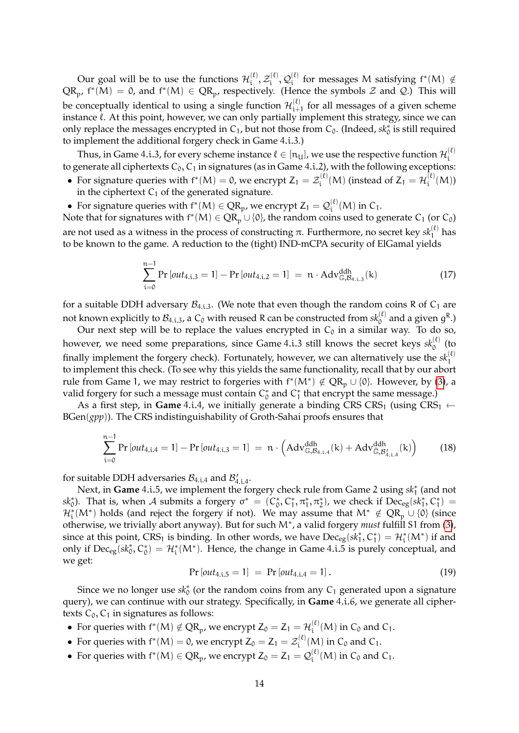Our goal will be to use the functions  $\mathcal{H}^{(\ell)}_{i}$  $\mathcal{Z}_{i}^{(\ell)}, \mathcal{Z}_{i}^{(\ell)}$  $\mathcal{Q}^{(\ell)}_\mathfrak{i}, \mathcal{Q}^{(\ell)}_\mathfrak{i}$  $\mathfrak{e}^{(\ell)}$  for messages M satisfying  $f^*(M) \notin$  $QR_p$ ,  $f^*(M) = 0$ , and  $f^*(M) \in QR_p$ , respectively. (Hence the symbols  $\mathcal Z$  and  $\mathcal Q$ .) This will be conceptually identical to using a single function  $\mathcal{H}^{(\ell)}_{i+}$  $\frac{f(t)}{t+1}$  for all messages of a given scheme instance  $\ell$ . At this point, however, we can only partially implement this strategy, since we can only replace the messages encrypted in C<sub>1</sub>, but not those from C<sub>0</sub>. (Indeed, *sk*<sup>\*</sup><sub>0</sub> is still required to implement the additional forgery check in Game 4.i.3.)

Thus, in Game 4.i.3, for every scheme instance  $\ell \in [n_\text{U}]$ , we use the respective function  $\mathcal{H}^{(\ell)}_\text{i}$ i to generate all ciphertexts  $C_0$ ,  $C_1$  in signatures (as in Game 4.i.2), with the following exceptions:

- For signature queries with  $f^*(M) = 0$ , we encrypt  $Z_1 = \mathcal{Z}_i^{(\ell)}$  $\mathcal{H}^{(\ell)}_{\mathfrak{i}}(M)$  (instead of  $Z_1 = \mathcal{H}^{(\ell)}_{\mathfrak{i}}$  $i^{\left(\mathfrak{c}\right)}(M)$ in the ciphertext  $C_1$  of the generated signature.
- For signature queries with  $f^*(M) \in QR_p$ , we encrypt  $Z_1 = \mathcal{Q}_i^{(\ell)}$  $i^{(0)}(M)$  in C<sub>1</sub>.

Note that for signatures with  $f^*(M) \in QR_p \cup \{0\}$ , the random coins used to generate C<sub>1</sub> (or C<sub>0</sub>) are not used as a witness in the process of constructing π. Furthermore, no secret key  $sk_1^{(\ell)}$  has to be known to the game. A reduction to the (tight) IND-mCPA security of ElGamal yields

$$
\sum_{i=0}^{n-1} \Pr\left[\text{out}_{4,i,3}=1\right] - \Pr\left[\text{out}_{4,i,2}=1\right] = n \cdot \text{Adv}_{\mathbb{G},\mathcal{B}_{4,i,3}}^{\text{ddh}}(k) \tag{17}
$$

for a suitable DDH adversary  $\mathcal{B}_{4,1,3}$ . (We note that even though the random coins R of C<sub>1</sub> are not known explicitly to  $\mathcal{B}_{4, i, 3}$ , a  $\mathsf{C}_0$  with reused R can be constructed from  $sk_0^{(\ell)}$  and a given  $g^R$ .)

Our next step will be to replace the values encrypted in  $C_0$  in a similar way. To do so, however, we need some preparations, since Game 4.i.3 still knows the secret keys  $sk_0^{(\ell)}$  (to finally implement the forgery check). Fortunately, however, we can alternatively use the  $sk_1^{(\ell)}$ to implement this check. (To see why this yields the same functionality, recall that by our abort rule from Game 1, we may restrict to forgeries with  $f^*(M^*) \notin QR_p \cup \{0\}$ . However, by [\(3\)](#page-10-1), a valid forgery for such a message must contain  $C_0^*$  and  $C_1^*$  that encrypt the same message.)

As a first step, in **Game** 4.i.4, we initially generate a binding CRS CRS<sub>1</sub> (using CRS<sub>1</sub>  $\leftarrow$ BGen(*gpp*)). The CRS indistinguishability of Groth-Sahai proofs ensures that

$$
\sum_{i=0}^{n-1} \Pr\left[\text{out}_{4,i,4}=1\right] - \Pr\left[\text{out}_{4,i,3}=1\right] = n \cdot \left(\text{Adv}_{\mathbb{G},\mathcal{B}_{4,i,4}}^{\text{ddh}}(k) + \text{Adv}_{\mathbb{G},\mathcal{B}_{4,i,4}'}^{\text{ddh}}(k)\right) \tag{18}
$$

for suitable DDH adversaries  $\mathcal{B}_{4,1,4}$  and  $\mathcal{B}'_{4,1,4}$ .

Next, in **Game** 4.i.5, we implement the forgery check rule from Game 2 using sk<sup>\*</sup><sub>1</sub> (and not  $sk_0^*$ ). That is, when A submits a forgery  $\sigma^* = (C_0^*, C_1^*, \pi_1^*, \pi_2^*)$ , we check if  $Dec_{eg}(sk_1^*, C_1^*)$  $\mathcal{H}^*_i(M^*)$  holds (and reject the forgery if not). We may assume that  $M^* \notin QR_p \cup \{0\}$  (since otherwise, we trivially abort anyway). But for such M<sup>∗</sup> , a valid forgery *must* fulfill S1 from [\(3\)](#page-10-1), since at this point, CRS<sub>1</sub> is binding. In other words, we have  $Dec_{\text{eg}}(sk_1^*, C_1^*) = \mathcal{H}_i^*(M^*)$  if and only if  $Dec_{eg}(sk_0^*, C_0^*) = \mathcal{H}_i^*(M^*)$ . Hence, the change in Game 4.i.5 is purely conceptual, and we get:

$$
Pr[out_{4,i,5} = 1] = Pr[out_{4,i,4} = 1]. \tag{19}
$$

Since we no longer use  $sk_0^*$  (or the random coins from any  $C_1$  generated upon a signature query), we can continue with our strategy. Specifically, in **Game** 4.i.6, we generate all ciphertexts  $C_0$ ,  $C_1$  in signatures as follows:

- For queries with  $f^*(M) \notin QR_p$ , we encrypt  $Z_0 = Z_1 = \mathcal{H}_i^{(\ell)}$  $i^{(k)}(M)$  in C<sub>0</sub> and C<sub>1</sub>.
- For queries with  $f^*(M) = 0$ , we encrypt  $Z_0 = Z_1 = \mathcal{Z}_i^{(\ell)}$  $C_i^{(0)}(M)$  in C<sub>0</sub> and C<sub>1</sub>.
- For queries with  $f^*(M) \in QR_p$ , we encrypt  $Z_0 = Z_1 = \mathcal{Q}_i^{(\ell)}$  $i^{(0)}(M)$  in C<sub>0</sub> and C<sub>1</sub>.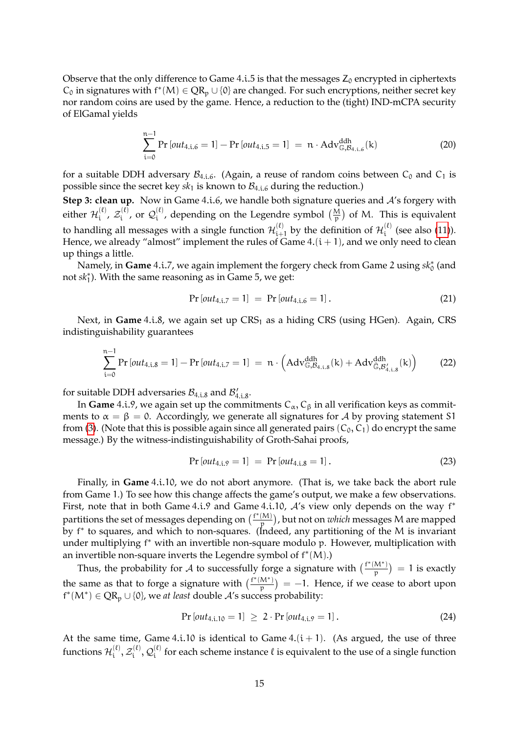Observe that the only difference to Game 4.i.5 is that the messages  $Z_0$  encrypted in ciphertexts  $C_0$  in signatures with  $f^*(M) \in QR_p \cup \{0\}$  are changed. For such encryptions, neither secret key nor random coins are used by the game. Hence, a reduction to the (tight) IND-mCPA security of ElGamal yields

$$
\sum_{i=0}^{n-1} \Pr\left[\text{out}_{4,i,6}=1\right] - \Pr\left[\text{out}_{4,i,5}=1\right] = n \cdot \text{Adv}_{\mathbb{G},\mathcal{B}_{4,i,6}}^{\text{ddh}}(k) \tag{20}
$$

for a suitable DDH adversary  $\mathcal{B}_{4,i,6}$ . (Again, a reuse of random coins between  $C_0$  and  $C_1$  is possible since the secret key  $sk_1$  is known to  $\mathcal{B}_{4,i,6}$  during the reduction.)

**Step 3: clean up.** Now in Game 4.i.6, we handle both signature queries and A's forgery with either  $\mathcal{H}^{(\ell)}_{\text{i}}$  $\overset{(\ell)}{\mathfrak{i}},\ \mathcal{Z}^{(\ell)}_{\mathfrak{i}}$  $\mathcal{Q}_i^{(\ell)}$ , or  $\mathcal{Q}_i^{(\ell)}$  $\binom{(\ell)}{i}$ , depending on the Legendre symbol  $\left(\frac{M}{p}\right)$  of M. This is equivalent to handling all messages with a single function  $\mathcal{H}^{(\ell)}_{i+1}$  $\mathcal{H}^{(\ell)}_{i+1}$  by the definition of  $\mathcal{H}^{(\ell)}_i$  $i^{(t)}$  (see also [\(11\)](#page-12-2)). Hence, we already "almost" implement the rules of Game  $4.(i + 1)$ , and we only need to clean up things a little.

Namely, in Game 4.i.7, we again implement the forgery check from Game 2 using  $sk_0^*$  (and not *sk*<sup>∗</sup> 1 ). With the same reasoning as in Game 5, we get:

$$
Pr[out_{4,i,7} = 1] = Pr[out_{4,i,6} = 1]. \tag{21}
$$

Next, in **Game** 4.*i.8*, we again set up CRS<sub>1</sub> as a hiding CRS (using HGen). Again, CRS indistinguishability guarantees

$$
\sum_{i=0}^{n-1} \Pr\left[\text{out}_{4,i,8}=1\right] - \Pr\left[\text{out}_{4,i,7}=1\right] = n \cdot \left(\text{Adv}_{\mathbb{G},\mathcal{B}_{4,i,8}}^{\text{ddh}}(k) + \text{Adv}_{\mathbb{G},\mathcal{B}_{4,i,8}}^{\text{ddh}}(k)\right) \tag{22}
$$

for suitable DDH adversaries  $B_{4,i,8}$  and  $B'_{4,i,8}$ .

In **Game** 4.i.9, we again set up the commitments  $C_{\alpha}$ ,  $C_{\beta}$  in all verification keys as commitments to  $\alpha = \beta = 0$ . Accordingly, we generate all signatures for A by proving statement S1 from [\(3\)](#page-10-1). (Note that this is possible again since all generated pairs  $(C_0, C_1)$  do encrypt the same message.) By the witness-indistinguishability of Groth-Sahai proofs,

$$
Pr[out_{4,i,9} = 1] = Pr[out_{4,i,8} = 1]. \tag{23}
$$

Finally, in **Game** 4.i.10, we do not abort anymore. (That is, we take back the abort rule from Game 1.) To see how this change affects the game's output, we make a few observations. First, note that in both Game 4.i.9 and Game 4.i.10, A's view only depends on the way f<sup>\*</sup> partitions the set of messages depending on  $\left(\frac{f^*(M)}{n}\right)$  $\binom{\lfloor \mathsf{M} \rfloor}{\mathfrak{p}}$  , but not on *which* messages M are mapped by f ∗ to squares, and which to non-squares. (Indeed, any partitioning of the M is invariant under multiplying f\* with an invertible non-square modulo p. However, multiplication with an invertible non-square inverts the Legendre symbol of  $f^*(M)$ .)

Thus, the probability for A to successfully forge a signature with  $\left(\frac{f^*(M^*)}{n}\right)$  $\frac{(M^*)}{p}$  = 1 is exactly the same as that to forge a signature with  $\left(\frac{f^*(M^*)}{n}\right)$  $\binom{M^*}{p}$  = -1. Hence, if we cease to abort upon f<sup>\*</sup>(M<sup>\*</sup>) ∈ QR<sub>p</sub> ∪ {0}, we *at least* double A's success probability:

$$
Pr[out_{4,i,10} = 1] \ge 2 \cdot Pr[out_{4,i,9} = 1]. \tag{24}
$$

At the same time, Game 4.i.10 is identical to Game  $4.(i + 1)$ . (As argued, the use of three functions  $\mathcal{H}^{(\ell)}_{\text{i}}$  $\mathcal{Z}_{\mathfrak{i}}^{(\ell)}, \mathcal{Z}_{\mathfrak{i}}^{(\ell)}$  $\mathcal{Q}^{(\ell)}_\mathfrak{i}, \mathcal{Q}^{(\ell)}_\mathfrak{i}$  $\int_{i}^{\tau}$  for each scheme instance  $\ell$  is equivalent to the use of a single function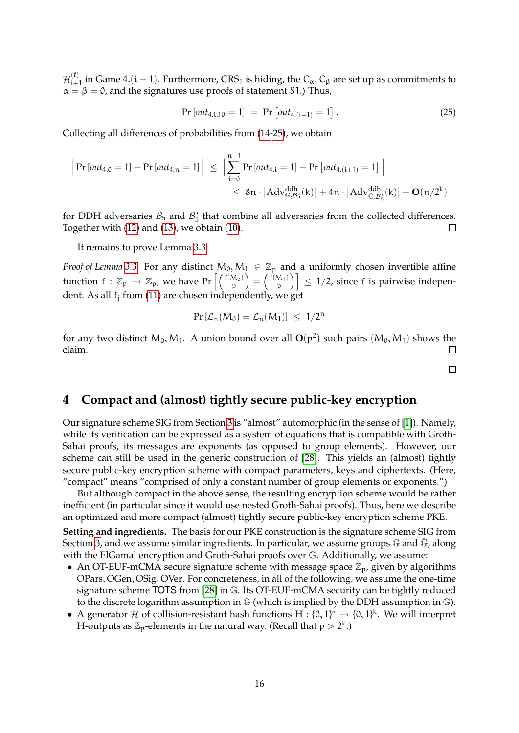$\mathcal{H}^{(\ell)}_{\text{i}+}$  $i_{i+1}^{(t)}$  in Game 4.(i + 1). Furthermore, CRS<sub>1</sub> is hiding, the C<sub>α</sub>, C<sub>β</sub> are set up as commitments to  $\alpha = \beta = 0$ , and the signatures use proofs of statement S1.) Thus,

<span id="page-16-1"></span>
$$
Pr\left[out_{4,i,10} = 1\right] = Pr\left[out_{4,(i+1)} = 1\right].\tag{25}
$$

Collecting all differences of probabilities from [\(14-](#page-13-1)[25\)](#page-16-1), we obtain

$$
\begin{aligned} \left| \Pr\left[\text{out}_{4,0}=1\right]-\Pr\left[\text{out}_{4,n}=1\right] \right| &\leq \left| \sum_{i=0}^{n-1} \Pr\left[\text{out}_{4,i}=1\right]-\Pr\left[\text{out}_{4.(i+1)}=1\right] \right| \\ &\leq 8n \cdot \left| \text{Adv}_{\mathbb{G},\mathcal{B}_5}^{ddh}(k) \right| + 4n \cdot \left| \text{Adv}_{\mathbb{G},\mathcal{B}_5'}^{ddh}(k) \right| + \mathbf{O}(n/2^k) \end{aligned}
$$

for DDH adversaries  $B_5$  and  $B'_5$  that combine all adversaries from the collected differences. Together with [\(12\)](#page-13-2) and [\(13\)](#page-13-3), we obtain [\(10\)](#page-12-1).  $\Box$ 

It remains to prove Lemma [3.3:](#page-13-0)

*Proof of Lemma* [3.3.](#page-13-0) For any distinct  $M_0, M_1 \in \mathbb{Z}_p$  and a uniformly chosen invertible affine function  $f : \mathbb{Z}_p \to \mathbb{Z}_p$ , we have  $Pr\left[\left(\frac{f(M_0)}{p}\right) = \left(\frac{f(M_1)}{p}\right)\right]$  $\left\lfloor \frac{M_1}{p} \right\rfloor$   $\leq$  1/2, since f is pairwise independent. As all  $f_j$  from [\(11\)](#page-12-2) are chosen independently, we get

$$
Pr\left[\mathcal{L}_n(M_0) = \mathcal{L}_n(M_1)\right] \leq 1/2^n
$$

for any two distinct  $M_0, M_1$ . A union bound over all  $O(p^2)$  such pairs  $(M_0, M_1)$  shows the claim.  $\Box$ 

 $\Box$ 

## <span id="page-16-0"></span>**4 Compact and (almost) tightly secure public-key encryption**

Our signature scheme SIG from Section [3](#page-9-0) is "almost" automorphic (in the sense of [\[1\]](#page-19-14)). Namely, while its verification can be expressed as a system of equations that is compatible with Groth-Sahai proofs, its messages are exponents (as opposed to group elements). However, our scheme can still be used in the generic construction of [\[28\]](#page-20-4). This yields an (almost) tightly secure public-key encryption scheme with compact parameters, keys and ciphertexts. (Here, "compact" means "comprised of only a constant number of group elements or exponents.")

But although compact in the above sense, the resulting encryption scheme would be rather inefficient (in particular since it would use nested Groth-Sahai proofs). Thus, here we describe an optimized and more compact (almost) tightly secure public-key encryption scheme PKE.

**Setting and ingredients.** The basis for our PKE construction is the signature scheme SIG from Section [3,](#page-9-0) and we assume similar ingredients. In particular, we assume groups  $\mathbb G$  and  $\mathbb G$ , along with the ElGamal encryption and Groth-Sahai proofs over G. Additionally, we assume:

- An OT-EUF-mCMA secure signature scheme with message space  $\mathbb{Z}_p$ , given by algorithms OPars, OGen, OSig, OVer. For concreteness, in all of the following, we assume the one-time signature scheme TOTS from [\[28\]](#page-20-4) in G. Its OT-EUF-mCMA security can be tightly reduced to the discrete logarithm assumption in  $\mathbb{G}$  (which is implied by the DDH assumption in  $\mathbb{G}$ ).
- A generator *H* of collision-resistant hash functions  $H : \{0, 1\}^* \to \{0, 1\}^k$ . We will interpret H-outputs as  $\mathbb{Z}_p$ -elements in the natural way. (Recall that  $p > 2^k$ .)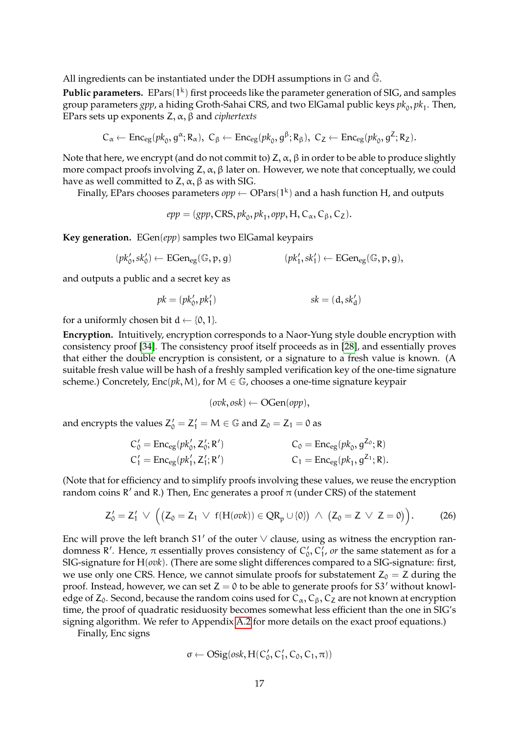All ingredients can be instantiated under the DDH assumptions in  $\mathbb G$  and  $\hat{\mathbb G}$ .

Public parameters. EPars(1<sup>k</sup>) first proceeds like the parameter generation of SIG, and samples group parameters *gpp,* a hiding Groth-Sahai CRS, and two ElGamal public keys  $pk_0, pk_1$ . Then, EPars sets up exponents Z, α, β and *ciphertexts*

$$
C_{\alpha} \leftarrow \text{Enc}_{eg}(pk_0, g^{\alpha}; R_{\alpha}), \ C_{\beta} \leftarrow \text{Enc}_{eg}(pk_0, g^{\beta}; R_{\beta}), \ C_Z \leftarrow \text{Enc}_{eg}(pk_0, g^Z; R_Z).
$$

Note that here, we encrypt (and do not commit to)  $\mathsf{Z}, \alpha, \beta$  in order to be able to produce slightly more compact proofs involving  $Z$ ,  $\alpha$ ,  $\beta$  later on. However, we note that conceptually, we could have as well committed to  $Z$ ,  $\alpha$ ,  $\beta$  as with SIG.

Finally, EPars chooses parameters  $opp \leftarrow \text{OPars}(1^k)$  and a hash function H, and outputs

 $epp = (gpp, CRS, pk_0, pk_1, opp, H, C<sub>\alpha</sub>, C<sub>\beta</sub>, C<sub>Z</sub>).$ 

**Key generation.** EGen(*epp*) samples two ElGamal keypairs

$$
(pk'_0, sk'_0) \leftarrow \text{EGen}_{eg}(\mathbb{G}, p, g) \qquad \qquad (pk'_1, sk'_1) \leftarrow \text{EGen}_{eg}(\mathbb{G}, p, g),
$$

and outputs a public and a secret key as

$$
pk = (pk'_0, pk'_1) \qquad sk = (d, sk'_d)
$$

for a uniformly chosen bit  $d \leftarrow \{0, 1\}.$ 

**Encryption.** Intuitively, encryption corresponds to a Naor-Yung style double encryption with consistency proof [\[34\]](#page-20-15). The consistency proof itself proceeds as in [\[28\]](#page-20-4), and essentially proves that either the double encryption is consistent, or a signature to a fresh value is known. (A suitable fresh value will be hash of a freshly sampled verification key of the one-time signature scheme.) Concretely,  $Enc(pk, M)$ , for  $M \in \mathbb{G}$ , chooses a one-time signature keypair

$$
(ovk, osk) \leftarrow OGen(opp),
$$

and encrypts the values  $Z'_0 = Z'_1 = M \in \mathbb{G}$  and  $Z_0 = Z_1 = 0$  as

$$
C'_{0} = \text{Enc}_{eg}(pk'_{0}, Z'_{0}; R')
$$
  
\n
$$
C_{1} = \text{Enc}_{eg}(pk_{1}, Z'_{1}; R')
$$
  
\n
$$
C_{2} = \text{Enc}_{eg}(pk_{0}, g^{Z_{0}}; R)
$$
  
\n
$$
C_{1} = \text{Enc}_{eg}(pk_{1}, g^{Z_{1}}; R).
$$

(Note that for efficiency and to simplify proofs involving these values, we reuse the encryption random coins R' and R.) Then, Enc generates a proof  $\pi$  (under CRS) of the statement

<span id="page-17-0"></span>
$$
Z'_0 = Z'_1 \vee \Big( (Z_0 = Z_1 \vee f(H(ovk)) \in QR_p \cup \{0\}) \wedge (Z_0 = Z \vee Z = 0) \Big). \tag{26}
$$

Enc will prove the left branch S1' of the outer  $\vee$  clause, using as witness the encryption randomness R'. Hence,  $\pi$  essentially proves consistency of  $C'_0$ ,  $C'_1$ , *or* the same statement as for a SIG-signature for H(*ovk*). (There are some slight differences compared to a SIG-signature: first, we use only one CRS. Hence, we cannot simulate proofs for substatement  $Z_0 = Z$  during the proof. Instead, however, we can set  $Z = 0$  to be able to generate proofs for S3' without knowledge of  $Z_0$ . Second, because the random coins used for  $C_\alpha$ ,  $C_\beta$ ,  $C_Z$  are not known at encryption time, the proof of quadratic residuosity becomes somewhat less efficient than the one in SIG's signing algorithm. We refer to Appendix [A.2](#page-21-0) for more details on the exact proof equations.)

Finally, Enc signs

$$
\sigma \leftarrow OSig(osk, H(C'_0, C'_1, C_0, C_1, \pi))
$$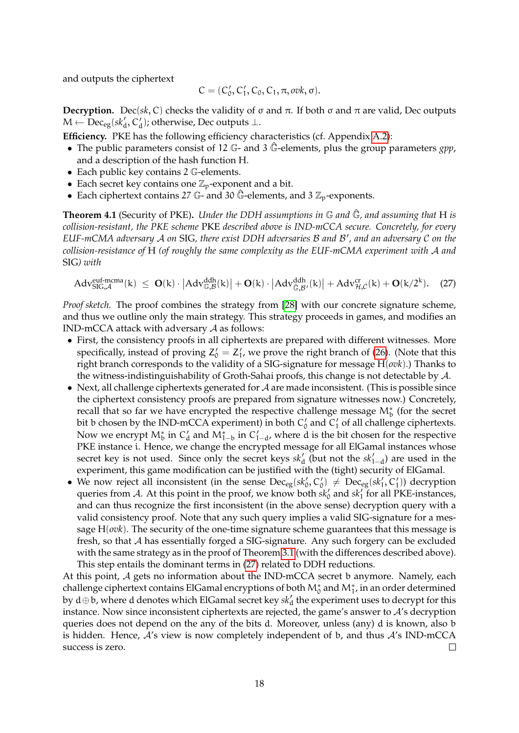and outputs the ciphertext

$$
C = (C'_0, C'_1, C_0, C_1, \pi, \text{ovk}, \sigma).
$$

**Decryption.** Dec(*sk*, C) checks the validity of σ and π. If both σ and π are valid, Dec outputs  $M \leftarrow \text{Dec}_{eg}(sk'_{d}, C'_{d})$ ; otherwise, Dec outputs ⊥.

**Efficiency.** PKE has the following efficiency characteristics (cf. Appendix [A.2\)](#page-21-0):

- The public parameters consist of 12  $\mathbb{G}$  and 3  $\mathbb{G}$ -elements, plus the group parameters *gpp*, and a description of the hash function H.
- Each public key contains 2 G-elements.
- Each secret key contains one  $\mathbb{Z}_p$ -exponent and a bit.
- Each ciphertext contains 27  $\mathbb{G}$  and 30  $\hat{\mathbb{G}}$ -elements, and 3  $\mathbb{Z}_p$ -exponents.

**Theorem 4.1** (Security of PKE). *Under the DDH assumptions in*  $\mathbb{G}$  *and*  $\hat{\mathbb{G}}$ *, and assuming that* H *is collision-resistant, the PKE scheme* PKE *described above is IND-mCCA secure. Concretely, for every EUF-mCMA adversary* A *on* SIG*, there exist DDH adversaries* B *and* B 0 *, and an adversary* C *on the collision-resistance of* H *(of roughly the same complexity as the EUF-mCMA experiment with* A *and* SIG*) with*

<span id="page-18-0"></span>
$$
Adv_{\mathrm{SIG},\mathcal{A}}^{\mathrm{euf\text{-}mcma}}(k) \leq \mathbf{O}(k) \cdot \left| \mathrm{Adv}_{\mathbb{G},\mathcal{B}}^{\mathrm{ddh}}(k) \right| + \mathbf{O}(k) \cdot \left| \mathrm{Adv}_{\hat{\mathbb{G}},\mathcal{B}'}^{\mathrm{ddh}}(k) \right| + \mathrm{Adv}_{\mathcal{H},\mathcal{C}}^{\mathrm{cr}}(k) + \mathbf{O}(k/2^k). \tag{27}
$$

*Proof sketch.* The proof combines the strategy from [\[28\]](#page-20-4) with our concrete signature scheme, and thus we outline only the main strategy. This strategy proceeds in games, and modifies an IND-mCCA attack with adversary  $A$  as follows:

- First, the consistency proofs in all ciphertexts are prepared with different witnesses. More specifically, instead of proving  $Z'_0 = Z'_1$ , we prove the right branch of [\(26\)](#page-17-0). (Note that this right branch corresponds to the validity of a SIG-signature for message H(*ovk*).) Thanks to the witness-indistinguishability of Groth-Sahai proofs, this change is not detectable by  $A$ .
- Next, all challenge ciphertexts generated for  $A$  are made inconsistent. (This is possible since the ciphertext consistency proofs are prepared from signature witnesses now.) Concretely, recall that so far we have encrypted the respective challenge message  $M_b^*$  (for the secret bit b chosen by the IND-mCCA experiment) in both  $C'_0$  and  $C'_1$  of all challenge ciphertexts. Now we encrypt  $M_b^*$  in  $C_d'$  and  $M_{1-b}^*$  in  $C_{1-d'}'$ , where d is the bit chosen for the respective PKE instance i. Hence, we change the encrypted message for all ElGamal instances whose secret key is not used. Since only the secret keys  $sk_d$ <sup>'</sup> (but not the  $sk_{1-d}$ ) are used in the experiment, this game modification can be justified with the (tight) security of ElGamal.
- We now reject all inconsistent (in the sense  $Dec_{eg}(sk'_0, C'_0) \neq Dec_{eg}(sk'_1, C'_1)$ ) decryption queries from A. At this point in the proof, we know both  $sk_0$  and  $sk_1$  for all PKE-instances, and can thus recognize the first inconsistent (in the above sense) decryption query with a valid consistency proof. Note that any such query implies a valid SIG-signature for a message  $H(ovk)$ . The security of the one-time signature scheme guarantees that this message is fresh, so that A has essentially forged a SIG-signature. Any such forgery can be excluded with the same strategy as in the proof of Theorem [3.1](#page-11-0) (with the differences described above). This step entails the dominant terms in [\(27\)](#page-18-0) related to DDH reductions.

At this point, A gets no information about the IND-mCCA secret b anymore. Namely, each challenge ciphertext contains ElGamal encryptions of both  $M_0^*$  and  $M_1^*$ , in an order determined by  $d \oplus b$ , where d denotes which ElGamal secret key  $sk_d'$  the experiment uses to decrypt for this instance. Now since inconsistent ciphertexts are rejected, the game's answer to  $A$ 's decryption queries does not depend on the any of the bits d. Moreover, unless (any) d is known, also b is hidden. Hence,  $A$ 's view is now completely independent of  $b$ , and thus  $A$ 's IND-mCCA success is zero.  $\Box$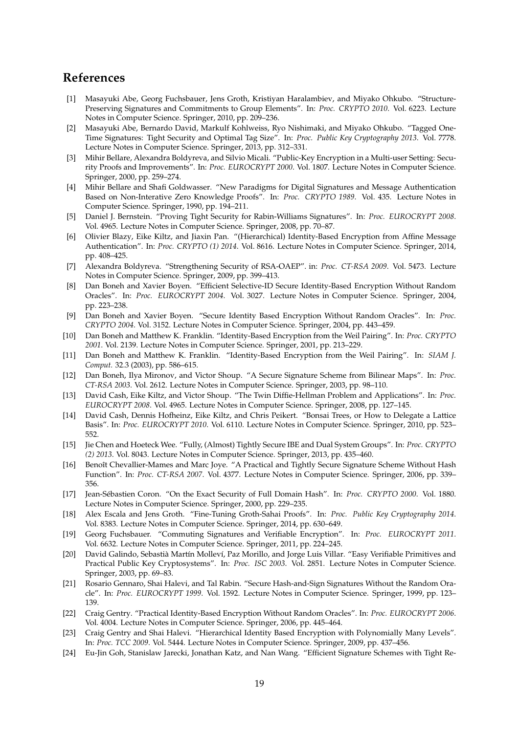# **References**

- <span id="page-19-14"></span>[1] Masayuki Abe, Georg Fuchsbauer, Jens Groth, Kristiyan Haralambiev, and Miyako Ohkubo. "Structure-Preserving Signatures and Commitments to Group Elements". In: *Proc. CRYPTO 2010*. Vol. 6223. Lecture Notes in Computer Science. Springer, 2010, pp. 209–236.
- <span id="page-19-7"></span>[2] Masayuki Abe, Bernardo David, Markulf Kohlweiss, Ryo Nishimaki, and Miyako Ohkubo. "Tagged One-Time Signatures: Tight Security and Optimal Tag Size". In: *Proc. Public Key Cryptography 2013*. Vol. 7778. Lecture Notes in Computer Science. Springer, 2013, pp. 312–331.
- <span id="page-19-6"></span>[3] Mihir Bellare, Alexandra Boldyreva, and Silvio Micali. "Public-Key Encryption in a Multi-user Setting: Security Proofs and Improvements". In: *Proc. EUROCRYPT 2000*. Vol. 1807. Lecture Notes in Computer Science. Springer, 2000, pp. 259–274.
- <span id="page-19-21"></span>[4] Mihir Bellare and Shafi Goldwasser. "New Paradigms for Digital Signatures and Message Authentication Based on Non-Interative Zero Knowledge Proofs". In: *Proc. CRYPTO 1989*. Vol. 435. Lecture Notes in Computer Science. Springer, 1990, pp. 194–211.
- <span id="page-19-12"></span>[5] Daniel J. Bernstein. "Proving Tight Security for Rabin-Williams Signatures". In: *Proc. EUROCRYPT 2008*. Vol. 4965. Lecture Notes in Computer Science. Springer, 2008, pp. 70–87.
- <span id="page-19-5"></span>[6] Olivier Blazy, Eike Kiltz, and Jiaxin Pan. "(Hierarchical) Identity-Based Encryption from Affine Message Authentication". In: *Proc. CRYPTO (1) 2014*. Vol. 8616. Lecture Notes in Computer Science. Springer, 2014, pp. 408–425.
- <span id="page-19-20"></span>[7] Alexandra Boldyreva. "Strengthening Security of RSA-OAEP". in: *Proc. CT-RSA 2009*. Vol. 5473. Lecture Notes in Computer Science. Springer, 2009, pp. 399–413.
- <span id="page-19-8"></span>[8] Dan Boneh and Xavier Boyen. "Efficient Selective-ID Secure Identity-Based Encryption Without Random Oracles". In: *Proc. EUROCRYPT 2004*. Vol. 3027. Lecture Notes in Computer Science. Springer, 2004, pp. 223–238.
- <span id="page-19-2"></span>[9] Dan Boneh and Xavier Boyen. "Secure Identity Based Encryption Without Random Oracles". In: *Proc. CRYPTO 2004*. Vol. 3152. Lecture Notes in Computer Science. Springer, 2004, pp. 443–459.
- <span id="page-19-1"></span>[10] Dan Boneh and Matthew K. Franklin. "Identity-Based Encryption from the Weil Pairing". In: *Proc. CRYPTO 2001*. Vol. 2139. Lecture Notes in Computer Science. Springer, 2001, pp. 213–229.
- <span id="page-19-15"></span>[11] Dan Boneh and Matthew K. Franklin. "Identity-Based Encryption from the Weil Pairing". In: *SIAM J. Comput.* 32.3 (2003), pp. 586–615.
- <span id="page-19-13"></span>[12] Dan Boneh, Ilya Mironov, and Victor Shoup. "A Secure Signature Scheme from Bilinear Maps". In: *Proc. CT-RSA 2003*. Vol. 2612. Lecture Notes in Computer Science. Springer, 2003, pp. 98–110.
- <span id="page-19-19"></span>[13] David Cash, Eike Kiltz, and Victor Shoup. "The Twin Diffie-Hellman Problem and Applications". In: *Proc. EUROCRYPT 2008*. Vol. 4965. Lecture Notes in Computer Science. Springer, 2008, pp. 127–145.
- <span id="page-19-3"></span>[14] David Cash, Dennis Hofheinz, Eike Kiltz, and Chris Peikert. "Bonsai Trees, or How to Delegate a Lattice Basis". In: *Proc. EUROCRYPT 2010*. Vol. 6110. Lecture Notes in Computer Science. Springer, 2010, pp. 523– 552.
- <span id="page-19-4"></span>[15] Jie Chen and Hoeteck Wee. "Fully, (Almost) Tightly Secure IBE and Dual System Groups". In: *Proc. CRYPTO (2) 2013*. Vol. 8043. Lecture Notes in Computer Science. Springer, 2013, pp. 435–460.
- <span id="page-19-9"></span>[16] Benoît Chevallier-Mames and Marc Joye. "A Practical and Tightly Secure Signature Scheme Without Hash Function". In: *Proc. CT-RSA 2007*. Vol. 4377. Lecture Notes in Computer Science. Springer, 2006, pp. 339– 356.
- <span id="page-19-0"></span>[17] Jean-Sébastien Coron. "On the Exact Security of Full Domain Hash". In: *Proc. CRYPTO 2000*. Vol. 1880. Lecture Notes in Computer Science. Springer, 2000, pp. 229–235.
- <span id="page-19-23"></span>[18] Alex Escala and Jens Groth. "Fine-Tuning Groth-Sahai Proofs". In: *Proc. Public Key Cryptography 2014*. Vol. 8383. Lecture Notes in Computer Science. Springer, 2014, pp. 630–649.
- <span id="page-19-22"></span>[19] Georg Fuchsbauer. "Commuting Signatures and Verifiable Encryption". In: *Proc. EUROCRYPT 2011*. Vol. 6632. Lecture Notes in Computer Science. Springer, 2011, pp. 224–245.
- <span id="page-19-18"></span>[20] David Galindo, Sebastià Martín Molleví, Paz Morillo, and Jorge Luis Villar. "Easy Verifiable Primitives and Practical Public Key Cryptosystems". In: *Proc. ISC 2003*. Vol. 2851. Lecture Notes in Computer Science. Springer, 2003, pp. 69–83.
- <span id="page-19-10"></span>[21] Rosario Gennaro, Shai Halevi, and Tal Rabin. "Secure Hash-and-Sign Signatures Without the Random Oracle". In: *Proc. EUROCRYPT 1999*. Vol. 1592. Lecture Notes in Computer Science. Springer, 1999, pp. 123– 139.
- <span id="page-19-16"></span>[22] Craig Gentry. "Practical Identity-Based Encryption Without Random Oracles". In: *Proc. EUROCRYPT 2006*. Vol. 4004. Lecture Notes in Computer Science. Springer, 2006, pp. 445–464.
- <span id="page-19-17"></span>[23] Craig Gentry and Shai Halevi. "Hierarchical Identity Based Encryption with Polynomially Many Levels". In: *Proc. TCC 2009*. Vol. 5444. Lecture Notes in Computer Science. Springer, 2009, pp. 437–456.
- <span id="page-19-11"></span>[24] Eu-Jin Goh, Stanislaw Jarecki, Jonathan Katz, and Nan Wang. "Efficient Signature Schemes with Tight Re-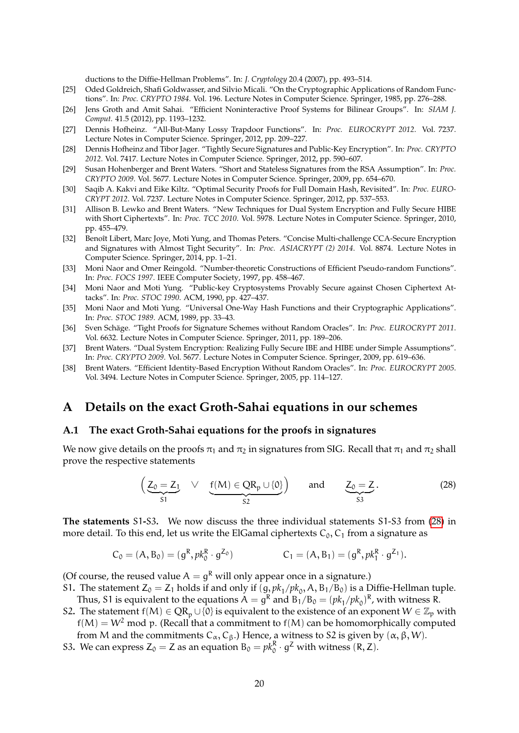ductions to the Diffie-Hellman Problems". In: *J. Cryptology* 20.4 (2007), pp. 493–514.

- <span id="page-20-9"></span>[25] Oded Goldreich, Shafi Goldwasser, and Silvio Micali. "On the Cryptographic Applications of Random Functions". In: *Proc. CRYPTO 1984*. Vol. 196. Lecture Notes in Computer Science. Springer, 1985, pp. 276–288.
- <span id="page-20-8"></span>[26] Jens Groth and Amit Sahai. "Efficient Noninteractive Proof Systems for Bilinear Groups". In: *SIAM J. Comput.* 41.5 (2012), pp. 1193–1232.
- <span id="page-20-7"></span>[27] Dennis Hofheinz. "All-But-Many Lossy Trapdoor Functions". In: *Proc. EUROCRYPT 2012*. Vol. 7237. Lecture Notes in Computer Science. Springer, 2012, pp. 209–227.
- <span id="page-20-4"></span>[28] Dennis Hofheinz and Tibor Jager. "Tightly Secure Signatures and Public-Key Encryption". In: *Proc. CRYPTO 2012*. Vol. 7417. Lecture Notes in Computer Science. Springer, 2012, pp. 590–607.
- <span id="page-20-2"></span>[29] Susan Hohenberger and Brent Waters. "Short and Stateless Signatures from the RSA Assumption". In: *Proc. CRYPTO 2009*. Vol. 5677. Lecture Notes in Computer Science. Springer, 2009, pp. 654–670.
- <span id="page-20-6"></span>[30] Saqib A. Kakvi and Eike Kiltz. "Optimal Security Proofs for Full Domain Hash, Revisited". In: *Proc. EURO-CRYPT 2012*. Vol. 7237. Lecture Notes in Computer Science. Springer, 2012, pp. 537–553.
- <span id="page-20-13"></span>[31] Allison B. Lewko and Brent Waters. "New Techniques for Dual System Encryption and Fully Secure HIBE with Short Ciphertexts". In: *Proc. TCC 2010*. Vol. 5978. Lecture Notes in Computer Science. Springer, 2010, pp. 455–479.
- <span id="page-20-3"></span>[32] Benoît Libert, Marc Joye, Moti Yung, and Thomas Peters. "Concise Multi-challenge CCA-Secure Encryption and Signatures with Almost Tight Security". In: *Proc. ASIACRYPT (2) 2014*. Vol. 8874. Lecture Notes in Computer Science. Springer, 2014, pp. 1–21.
- <span id="page-20-10"></span>[33] Moni Naor and Omer Reingold. "Number-theoretic Constructions of Efficient Pseudo-random Functions". In: *Proc. FOCS 1997*. IEEE Computer Society, 1997, pp. 458–467.
- <span id="page-20-15"></span>[34] Moni Naor and Moti Yung. "Public-key Cryptosystems Provably Secure against Chosen Ciphertext Attacks". In: *Proc. STOC 1990*. ACM, 1990, pp. 427–437.
- <span id="page-20-0"></span>[35] Moni Naor and Moti Yung. "Universal One-Way Hash Functions and their Cryptographic Applications". In: *Proc. STOC 1989*. ACM, 1989, pp. 33–43.
- <span id="page-20-5"></span>[36] Sven Schäge. "Tight Proofs for Signature Schemes without Random Oracles". In: *Proc. EUROCRYPT 2011*. Vol. 6632. Lecture Notes in Computer Science. Springer, 2011, pp. 189–206.
- <span id="page-20-12"></span>[37] Brent Waters. "Dual System Encryption: Realizing Fully Secure IBE and HIBE under Simple Assumptions". In: *Proc. CRYPTO 2009*. Vol. 5677. Lecture Notes in Computer Science. Springer, 2009, pp. 619–636.
- <span id="page-20-1"></span>[38] Brent Waters. "Efficient Identity-Based Encryption Without Random Oracles". In: *Proc. EUROCRYPT 2005*. Vol. 3494. Lecture Notes in Computer Science. Springer, 2005, pp. 114–127.

## <span id="page-20-11"></span>**A Details on the exact Groth-Sahai equations in our schemes**

#### <span id="page-20-14"></span>**A.1 The exact Groth-Sahai equations for the proofs in signatures**

We now give details on the proofs  $\pi_1$  and  $\pi_2$  in signatures from SIG. Recall that  $\pi_1$  and  $\pi_2$  shall prove the respective statements

<span id="page-20-16"></span>
$$
\left(\underbrace{Z_0 = Z_1}_{S1} \quad \vee \quad \underbrace{f(M) \in QR_p \cup \{0\}}_{S2}\right) \qquad \text{and} \qquad \underbrace{Z_0 = Z}_{S3}.
$$
 (28)

**The statements** S1**-**S3**.** We now discuss the three individual statements S1-S3 from [\(28\)](#page-20-16) in more detail. To this end, let us write the ElGamal ciphertexts  $C_0$ ,  $C_1$  from a signature as

$$
C_0 = (A, B_0) = (g^R, pk_0^R \cdot g^{Z_0})
$$
  

$$
C_1 = (A, B_1) = (g^R, pk_1^R \cdot g^{Z_1}).
$$

(Of course, the reused value  $A = g<sup>R</sup>$  will only appear once in a signature.)

- S1. The statement  $Z_0 = Z_1$  holds if and only if  $(g, pk_1/pk_0, A, B_1/B_0)$  is a Diffie-Hellman tuple. Thus, S1 is equivalent to the equations  $A = g^R$  and  $B_1/B_0 = (pk_1/pk_0)^R$ , with witness R.
- S2. The statement  $f(M) \in QR_p \cup \{0\}$  is equivalent to the existence of an exponent  $W \in \mathbb{Z}_p$  with  $f(M) = W^2$  mod p. (Recall that a commitment to  $f(M)$  can be homomorphically computed

from M and the commitments  $C_\alpha, C_\beta$ .) Hence, a witness to S2 is given by  $(\alpha, \beta, W)$ .

S3. We can express  $Z_0 = Z$  as an equation  $B_0 = pk_0^R \cdot g^Z$  with witness  $(R, Z)$ .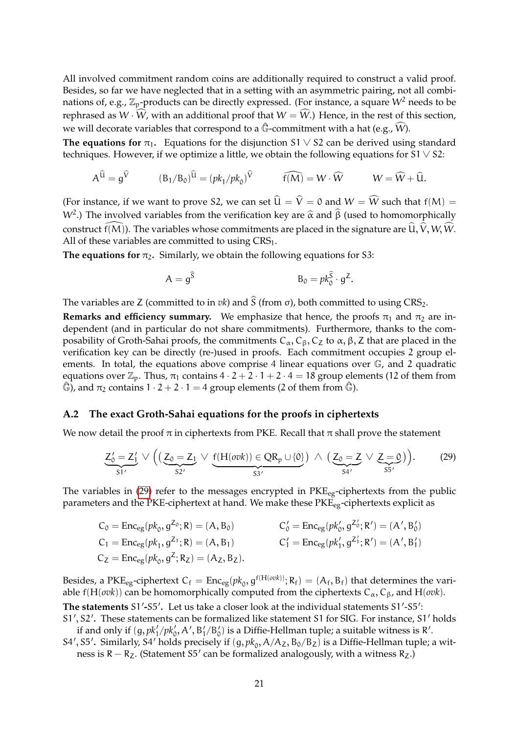All involved commitment random coins are additionally required to construct a valid proof. Besides, so far we have neglected that in a setting with an asymmetric pairing, not all combinations of, e.g.,  $\mathbb{Z}_p$ -products can be directly expressed. (For instance, a square  $W^2$  needs to be rephrased as  $W \cdot \widehat{W}$ , with an additional proof that  $W = \widehat{W}$ .) Hence, in the rest of this section, we will decorate variables that correspond to a  $\hat{\mathbb{G}}$ -commitment with a hat (e.g.,  $\widehat{W}$ ).

**The equations for**  $\pi_1$ . Equations for the disjunction S1  $\vee$  S2 can be derived using standard techniques. However, if we optimize a little, we obtain the following equations for  $S1 \vee S2$ :

$$
A^{\hat{u}} = g^{\hat{V}} \qquad (B_1/B_0)^{\hat{u}} = (pk_1/pk_0)^{\hat{V}} \qquad \widehat{f(M)} = W \cdot \widehat{W} \qquad W = \widehat{W} + \widehat{u}.
$$

(For instance, if we want to prove S2, we can set  $\hat{U} = \hat{V} = 0$  and  $W = \hat{W}$  such that  $f(M) =$  $W^2$ .) The involved variables from the verification key are  $\hat{\alpha}$  and  $\hat{\beta}$  (used to homomorphically construct  $\tilde{f}(M)$ ). The variables whose commitments are placed in the signature are  $\hat{U}, \hat{V}, W, \hat{W}$ . All of these variables are committed to using  $CRS<sub>1</sub>$ .

**The equations for**  $\pi_2$ . Similarly, we obtain the following equations for S3:

$$
A = g^{\widehat{S}} \qquad B_0 = p k_0^{\widehat{S}} \cdot g^{\mathcal{Z}}.
$$

The variables are Z (committed to in *vk*) and  $\hat{S}$  (from  $\sigma$ ), both committed to using CRS<sub>2</sub>.

**Remarks and efficiency summary.** We emphasize that hence, the proofs  $\pi_1$  and  $\pi_2$  are independent (and in particular do not share commitments). Furthermore, thanks to the composability of Groth-Sahai proofs, the commitments  $C_\alpha$ ,  $C_\beta$ ,  $C_\gamma$  to  $\alpha$ ,  $\beta$ , Z that are placed in the verification key can be directly (re-)used in proofs. Each commitment occupies 2 group elements. In total, the equations above comprise 4 linear equations over G, and 2 quadratic equations over  $\mathbb{Z}_p$ . Thus,  $\pi_1$  contains  $4 \cdot 2 + 2 \cdot 1 + 2 \cdot 4 = 18$  group elements (12 of them from  $\hat{\mathbb{G}}$ ), and  $\pi_2$  contains  $1 \cdot 2 + 2 \cdot 1 = 4$  group elements (2 of them from  $\hat{\mathbb{G}}$ ).

### <span id="page-21-0"></span>**A.2 The exact Groth-Sahai equations for the proofs in ciphertexts**

We now detail the proof  $\pi$  in ciphertexts from PKE. Recall that  $\pi$  shall prove the statement

<span id="page-21-1"></span>
$$
\underbrace{Z'_0 = Z'_1}_{S1'} \vee \Big( \big( \underbrace{Z_0 = Z_1}_{S2'} \vee \underbrace{f(H(ovk)) \in QR_p \cup \{0\}}_{S3'} \big) \wedge \big( \underbrace{Z_0 = Z}_{S4'} \vee \underbrace{Z = 0}_{S5'} \big) \Big).
$$
 (29)

The variables in [\(29\)](#page-21-1) refer to the messages encrypted in  $PKE_{ee}$ -ciphertexts from the public parameters and the PKE-ciphertext at hand. We make these PKE<sub>eg</sub>-ciphertexts explicit as

$$
C_0 = \text{Enc}_{eg}(pk_0, g^{Z_0}; R) = (A, B_0)
$$
  
\n
$$
C_1 = \text{Enc}_{eg}(pk_1, g^{Z_1}; R) = (A, B_1)
$$
  
\n
$$
C_2 = \text{Enc}_{eg}(pk_0, g^{Z_1}; R) = (A, B_1)
$$
  
\n
$$
C_1' = \text{Enc}_{eg}(pk_1', g^{Z_1'}; R') = (A', B_1')
$$
  
\n
$$
C_2' = \text{Enc}_{eg}(pk_1', g^{Z_1'}; R') = (A', B_1')
$$

Besides, a PKE<sub>eg</sub>-ciphertext  $C_f = \text{Enc}_{eg}(pk_0, g^{f(H(ovk))}; R_f) = (A_f, B_f)$  that determines the variable f( $H(ovk)$ ) can be homomorphically computed from the ciphertexts  $C_{\alpha}$ ,  $C_{\beta}$ , and  $H(ovk)$ .

The statements S1'-S5'. Let us take a closer look at the individual statements S1'-S5': S1', S2'. These statements can be formalized like statement S1 for SIG. For instance, S1' holds

if and only if  $(g, pk'_1/pk'_0, A', B'_1/B'_0)$  is a Diffie-Hellman tuple; a suitable witness is R'. S4', S5'. Similarly, S4' holds precisely if  $(g, pk_0, A/A_z, B_0/B_z)$  is a Diffie-Hellman tuple; a wit-

ness is  $R - R_Z$ . (Statement S5' can be formalized analogously, with a witness  $R_Z$ .)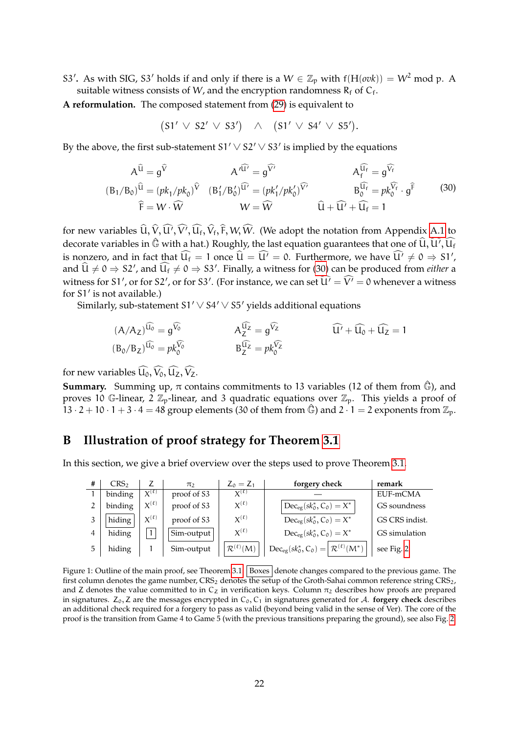S3'. As with SIG, S3' holds if and only if there is a  $W \in \mathbb{Z}_p$  with  $f(H(ovk)) = W^2 \text{ mod } p$ . A suitable witness consists of W, and the encryption randomness  $R_f$  of  $C_f$ .

**A reformulation.** The composed statement from [\(29\)](#page-21-1) is equivalent to

$$
(S1' \vee S2' \vee S3') \wedge (S1' \vee S4' \vee S5').
$$

By the above, the first sub-statement  $S1' \vee S2' \vee S3'$  is implied by the equations

<span id="page-22-2"></span>
$$
A^{\hat{\mathbf{u}}}=g^{\hat{V}} \qquad A'^{\hat{\mathbf{u}}'}=g^{\hat{V'}} \qquad A^{\hat{\mathbf{u}}_{\mathbf{f}}}=\overline{g}^{\hat{V}_{\mathbf{f}}}
$$

$$
(B_1/B_0)^{\hat{\mathbf{u}}}=(pk_1/pk_0)^{\hat{V}} \qquad (B'_1/B'_0)^{\hat{\mathbf{u}}'}=(pk'_1/pk'_0)^{\hat{V}'}
$$

$$
\hat{F}=W \cdot \widehat{W} \qquad W=\widehat{W} \qquad \hat{\mathbf{u}}+\widehat{u'}+\widehat{u}_{\mathbf{f}}=1 \qquad (30)
$$

for new variables  $\hat{U}, \hat{V}, \hat{U'}, \hat{V}, \hat{U}_f, \hat{V}_f, \hat{F}, W, \hat{W}$ . (We adopt the notation from Appendix [A.1](#page-20-14) to decorate variables in  $\mathbb G$  with a hat.) Roughly, the last equation guarantees that one of  $\widehat{\mathfrak U}, \widehat{\mathfrak U'}$ ,  $\widehat{\mathfrak U}_f$ is nonzero, and in fact that  $\widehat{U}_f = 1$  once  $\widehat{U} = \widehat{U}' = 0$ . Furthermore, we have  $\widehat{U}' \neq 0 \Rightarrow S1'$ ,  $S2' \Rightarrow S3' \Rightarrow S3'$ , Finally, a primary fact (20) on the number of from sittems and  $\hat{U} \neq 0 \Rightarrow S2'$ , and  $\hat{U}_f \neq 0 \Rightarrow S3'$ . Finally, a witness for [\(30\)](#page-22-2) can be produced from *either* a witness for S1', or for S2', or for S3'. (For instance, we can set  $\widehat{U'} = \widehat{V'} = 0$  whenever a witness for S1' is not available.)

Similarly, sub-statement  $S1' \vee S4' \vee S5'$  yields additional equations

$$
(A/A_Z)^{\widehat{U_0}} = g^{\widehat{V_0}} \qquad A_Z^{\widehat{U_Z}} = g^{\widehat{V_Z}} \qquad \widehat{U'} + \widehat{U_0} + \widehat{U_Z} = 1
$$
  
\n
$$
(B_0/B_Z)^{\widehat{U_0}} = p k_0^{\widehat{V_0}} \qquad B_Z^{\widehat{U_Z}} = p k_0^{\widehat{V_Z}}
$$

for new variables  $\widehat{U_0}$ ,  $\widehat{V_0}$ ,  $\widehat{U_7}$ ,  $\widehat{V_7}$ .

**Summary.** Summing up,  $\pi$  contains commitments to 13 variables (12 of them from  $\hat{\mathbb{G}}$ ), and proves 10 G-linear, 2  $\mathbb{Z}_p$ -linear, and 3 quadratic equations over  $\mathbb{Z}_p$ . This yields a proof of  $13 \cdot 2 + 10 \cdot 1 + 3 \cdot 4 = 48$  group elements (30 of them from  $\hat{\mathbb{G}}$ ) and  $2 \cdot 1 = 2$  exponents from  $\mathbb{Z}_p$ .

# <span id="page-22-0"></span>**B Illustration of proof strategy for Theorem [3.1](#page-11-0)**

<span id="page-22-1"></span>In this section, we give a brief overview over the steps used to prove Theorem [3.1.](#page-11-0)

| # | CRS <sub>2</sub> |              | $\pi$       | $Z_0 = Z_1$               | forgery check                                                             | remark         |
|---|------------------|--------------|-------------|---------------------------|---------------------------------------------------------------------------|----------------|
|   | binding          | $X^{(\ell)}$ | proof of S3 | $X^{(\ell)}$              |                                                                           | EUF-mCMA       |
|   | binding          | $X^{(\ell)}$ | proof of S3 | $X^{(\ell)}$              | $\text{Dec}_{eg}(sk_0^*, C_0) = X^*$                                      | GS soundness   |
|   | hiding           | $X^{(\ell)}$ | proof of S3 | $X^{(\ell)}$              | $Dec_{eg}(sk_0^*, C_0) = X^*$                                             | GS CRS indist. |
|   | hiding           |              | Sim-output  | $X^{(\ell)}$              | $Dec_{eg}(sk_0^*, C_0) = X^*$                                             | GS simulation  |
|   | hiding           |              | Sim-output  | $\mathcal{R}^{(\ell)}(M)$ | $\text{Dec}_{eg}(sk_0^*, C_0) = \left  \mathcal{R}^{(\ell)}(M^*) \right $ | see Fig. 2     |

Figure 1: Outline of the main proof, see Theorem [3.1.](#page-11-0) Boxes denote changes compared to the previous game. The first column denotes the game number, CRS<sub>2</sub> denotes the setup of the Groth-Sahai common reference string CRS<sub>2</sub>, and Z denotes the value committed to in  $C_Z$  in verification keys. Column  $\pi_2$  describes how proofs are prepared in signatures.  $Z_0$ ,  $Z$  are the messages encrypted in  $C_0$ ,  $C_1$  in signatures generated for  $A$ . **forgery check** describes an additional check required for a forgery to pass as valid (beyond being valid in the sense of Ver). The core of the proof is the transition from Game 4 to Game 5 (with the previous transitions preparing the ground), see also Fig. [2.](#page-23-0)